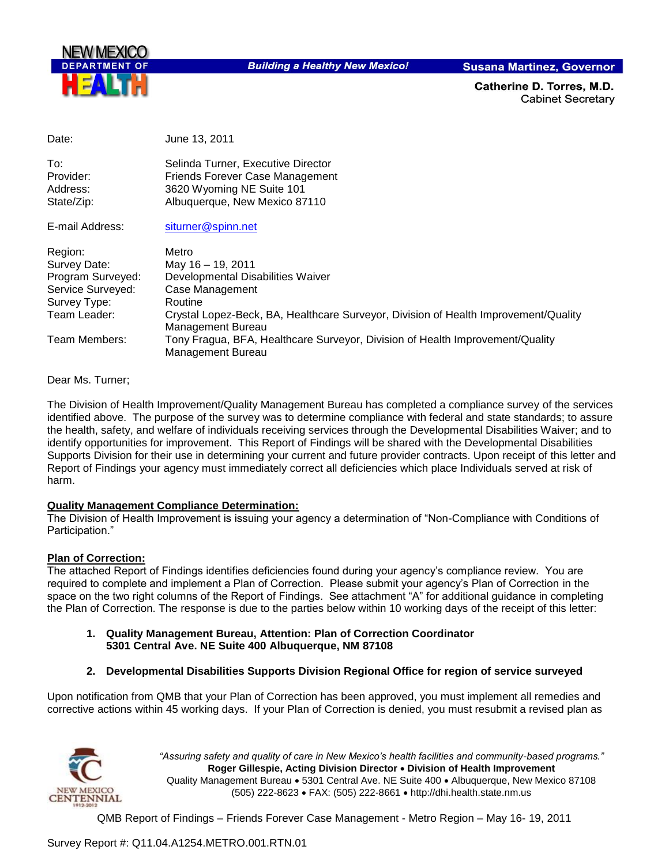

Date: June 13, 2011

**Building a Healthy New Mexico!** 

**Susana Martinez, Governor** 

Catherine D. Torres, M.D. **Cabinet Secretary** 

| Dalt.                                                                                             | JUILE 10. ZU I I                                                                                                                                                                                          |
|---------------------------------------------------------------------------------------------------|-----------------------------------------------------------------------------------------------------------------------------------------------------------------------------------------------------------|
| To:<br>Provider:<br>Address:<br>State/Zip:                                                        | Selinda Turner, Executive Director<br>Friends Forever Case Management<br>3620 Wyoming NE Suite 101<br>Albuquerque, New Mexico 87110                                                                       |
| E-mail Address:                                                                                   | siturner@spinn.net                                                                                                                                                                                        |
| Region:<br>Survey Date:<br>Program Surveyed:<br>Service Surveyed:<br>Survey Type:<br>Team Leader: | Metro<br>May 16 - 19, 2011<br>Developmental Disabilities Waiver<br>Case Management<br>Routine<br>Crystal Lopez-Beck, BA, Healthcare Surveyor, Division of Health Improvement/Quality<br>Management Bureau |
| Team Members:                                                                                     | Tony Fragua, BFA, Healthcare Surveyor, Division of Health Improvement/Quality<br>Management Bureau                                                                                                        |

Dear Ms. Turner;

The Division of Health Improvement/Quality Management Bureau has completed a compliance survey of the services identified above. The purpose of the survey was to determine compliance with federal and state standards; to assure the health, safety, and welfare of individuals receiving services through the Developmental Disabilities Waiver; and to identify opportunities for improvement. This Report of Findings will be shared with the Developmental Disabilities Supports Division for their use in determining your current and future provider contracts. Upon receipt of this letter and Report of Findings your agency must immediately correct all deficiencies which place Individuals served at risk of harm.

#### **Quality Management Compliance Determination:**

The Division of Health Improvement is issuing your agency a determination of "Non-Compliance with Conditions of Participation."

#### **Plan of Correction:**

The attached Report of Findings identifies deficiencies found during your agency"s compliance review. You are required to complete and implement a Plan of Correction. Please submit your agency"s Plan of Correction in the space on the two right columns of the Report of Findings. See attachment "A" for additional guidance in completing the Plan of Correction. The response is due to the parties below within 10 working days of the receipt of this letter:

- **1. Quality Management Bureau, Attention: Plan of Correction Coordinator 5301 Central Ave. NE Suite 400 Albuquerque, NM 87108**
- **2. Developmental Disabilities Supports Division Regional Office for region of service surveyed**

Upon notification from QMB that your Plan of Correction has been approved, you must implement all remedies and corrective actions within 45 working days. If your Plan of Correction is denied, you must resubmit a revised plan as



*"Assuring safety and quality of care in New Mexico's health facilities and community-based programs."* **Roger Gillespie, Acting Division Director Division of Health Improvement**  Quality Management Bureau 5301 Central Ave. NE Suite 400 Albuquerque, New Mexico 87108 (505) 222-8623 FAX: (505) 222-8661 http://dhi.health.state.nm.us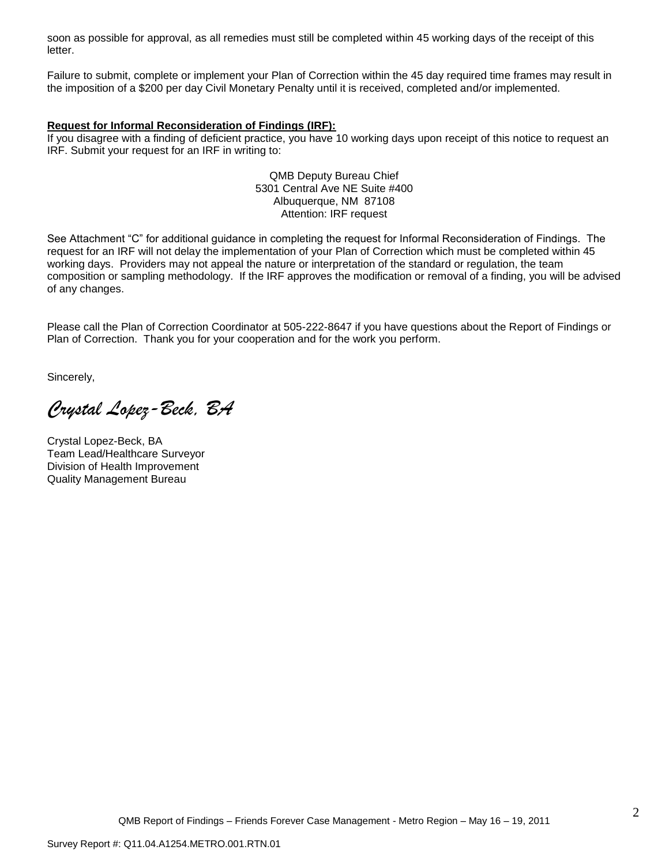soon as possible for approval, as all remedies must still be completed within 45 working days of the receipt of this letter.

Failure to submit, complete or implement your Plan of Correction within the 45 day required time frames may result in the imposition of a \$200 per day Civil Monetary Penalty until it is received, completed and/or implemented.

#### **Request for Informal Reconsideration of Findings (IRF):**

If you disagree with a finding of deficient practice, you have 10 working days upon receipt of this notice to request an IRF. Submit your request for an IRF in writing to:

> QMB Deputy Bureau Chief 5301 Central Ave NE Suite #400 Albuquerque, NM 87108 Attention: IRF request

See Attachment "C" for additional guidance in completing the request for Informal Reconsideration of Findings. The request for an IRF will not delay the implementation of your Plan of Correction which must be completed within 45 working days. Providers may not appeal the nature or interpretation of the standard or regulation, the team composition or sampling methodology. If the IRF approves the modification or removal of a finding, you will be advised of any changes.

Please call the Plan of Correction Coordinator at 505-222-8647 if you have questions about the Report of Findings or Plan of Correction. Thank you for your cooperation and for the work you perform.

Sincerely,

*Crystal Lopez-Beck, BA*

Crystal Lopez-Beck, BA Team Lead/Healthcare Surveyor Division of Health Improvement Quality Management Bureau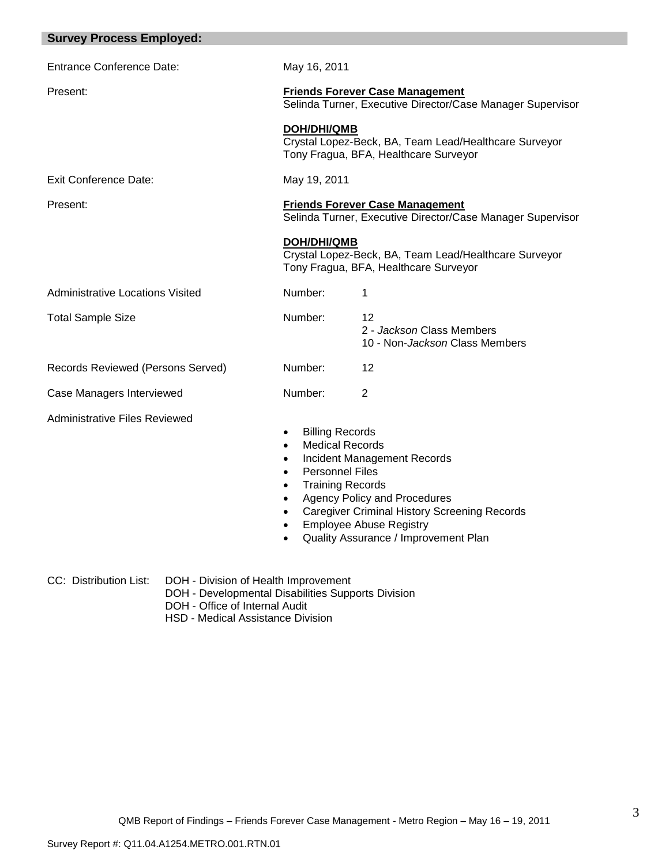| <b>Survey Process Employed:</b>      |                                                                                                                                                                |                                                                                                                                                                                                            |
|--------------------------------------|----------------------------------------------------------------------------------------------------------------------------------------------------------------|------------------------------------------------------------------------------------------------------------------------------------------------------------------------------------------------------------|
| <b>Entrance Conference Date:</b>     | May 16, 2011                                                                                                                                                   |                                                                                                                                                                                                            |
| Present:                             | <b>Friends Forever Case Management</b><br>Selinda Turner, Executive Director/Case Manager Supervisor                                                           |                                                                                                                                                                                                            |
|                                      | <b>DOH/DHI/QMB</b><br>Crystal Lopez-Beck, BA, Team Lead/Healthcare Surveyor<br>Tony Fragua, BFA, Healthcare Surveyor                                           |                                                                                                                                                                                                            |
| <b>Exit Conference Date:</b>         | May 19, 2011                                                                                                                                                   |                                                                                                                                                                                                            |
| Present:                             |                                                                                                                                                                | <b>Friends Forever Case Management</b><br>Selinda Turner, Executive Director/Case Manager Supervisor                                                                                                       |
|                                      | <b>DOH/DHI/QMB</b>                                                                                                                                             | Crystal Lopez-Beck, BA, Team Lead/Healthcare Surveyor<br>Tony Fragua, BFA, Healthcare Surveyor                                                                                                             |
| Administrative Locations Visited     | Number:                                                                                                                                                        | 1                                                                                                                                                                                                          |
| <b>Total Sample Size</b>             | Number:                                                                                                                                                        | 12<br>2 - Jackson Class Members<br>10 - Non-Jackson Class Members                                                                                                                                          |
| Records Reviewed (Persons Served)    | Number:                                                                                                                                                        | 12                                                                                                                                                                                                         |
| Case Managers Interviewed            | Number:                                                                                                                                                        | $\overline{2}$                                                                                                                                                                                             |
| <b>Administrative Files Reviewed</b> | <b>Billing Records</b><br>$\bullet$<br><b>Medical Records</b><br><b>Personnel Files</b><br>$\bullet$<br><b>Training Records</b><br>$\bullet$<br>٠<br>$\bullet$ | <b>Incident Management Records</b><br><b>Agency Policy and Procedures</b><br><b>Caregiver Criminal History Screening Records</b><br><b>Employee Abuse Registry</b><br>Quality Assurance / Improvement Plan |

- CC: Distribution List: DOH Division of Health Improvement
	- DOH Developmental Disabilities Supports Division
	- DOH Office of Internal Audit
	- HSD Medical Assistance Division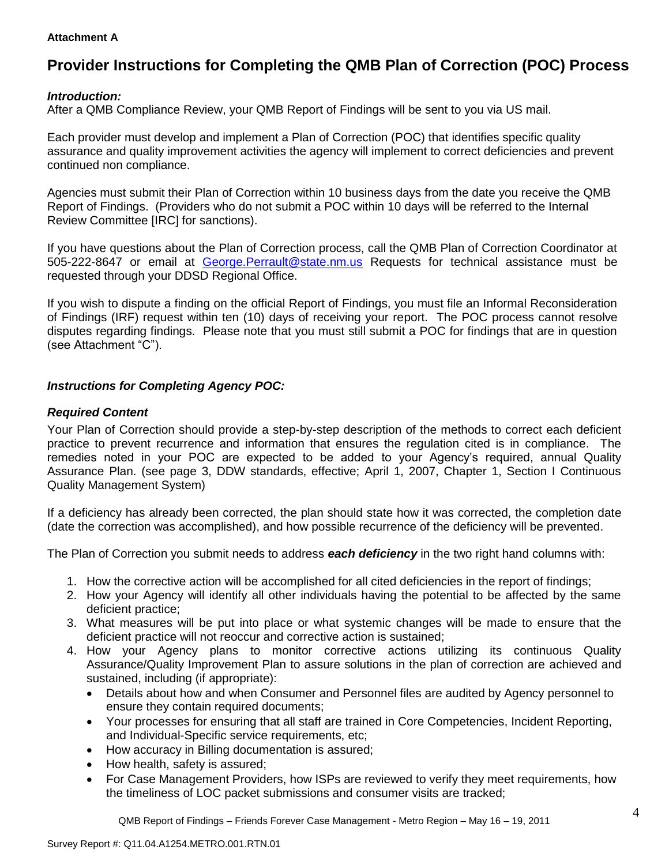#### **Attachment A**

# **Provider Instructions for Completing the QMB Plan of Correction (POC) Process**

### *Introduction:*

After a QMB Compliance Review, your QMB Report of Findings will be sent to you via US mail.

Each provider must develop and implement a Plan of Correction (POC) that identifies specific quality assurance and quality improvement activities the agency will implement to correct deficiencies and prevent continued non compliance.

Agencies must submit their Plan of Correction within 10 business days from the date you receive the QMB Report of Findings. (Providers who do not submit a POC within 10 days will be referred to the Internal Review Committee [IRC] for sanctions).

If you have questions about the Plan of Correction process, call the QMB Plan of Correction Coordinator at 505-222-8647 or email at [George.Perrault@state.nm.us](mailto:George.Perrault@state.nm.us) Requests for technical assistance must be requested through your DDSD Regional Office.

If you wish to dispute a finding on the official Report of Findings, you must file an Informal Reconsideration of Findings (IRF) request within ten (10) days of receiving your report. The POC process cannot resolve disputes regarding findings. Please note that you must still submit a POC for findings that are in question (see Attachment "C").

# *Instructions for Completing Agency POC:*

# *Required Content*

Your Plan of Correction should provide a step-by-step description of the methods to correct each deficient practice to prevent recurrence and information that ensures the regulation cited is in compliance. The remedies noted in your POC are expected to be added to your Agency"s required, annual Quality Assurance Plan. (see page 3, DDW standards, effective; April 1, 2007, Chapter 1, Section I Continuous Quality Management System)

If a deficiency has already been corrected, the plan should state how it was corrected, the completion date (date the correction was accomplished), and how possible recurrence of the deficiency will be prevented.

The Plan of Correction you submit needs to address *each deficiency* in the two right hand columns with:

- 1. How the corrective action will be accomplished for all cited deficiencies in the report of findings;
- 2. How your Agency will identify all other individuals having the potential to be affected by the same deficient practice;
- 3. What measures will be put into place or what systemic changes will be made to ensure that the deficient practice will not reoccur and corrective action is sustained;
- 4. How your Agency plans to monitor corrective actions utilizing its continuous Quality Assurance/Quality Improvement Plan to assure solutions in the plan of correction are achieved and sustained, including (if appropriate):
	- Details about how and when Consumer and Personnel files are audited by Agency personnel to ensure they contain required documents;
	- Your processes for ensuring that all staff are trained in Core Competencies, Incident Reporting, and Individual-Specific service requirements, etc;
	- How accuracy in Billing documentation is assured;
	- How health, safety is assured;
	- For Case Management Providers, how ISPs are reviewed to verify they meet requirements, how the timeliness of LOC packet submissions and consumer visits are tracked;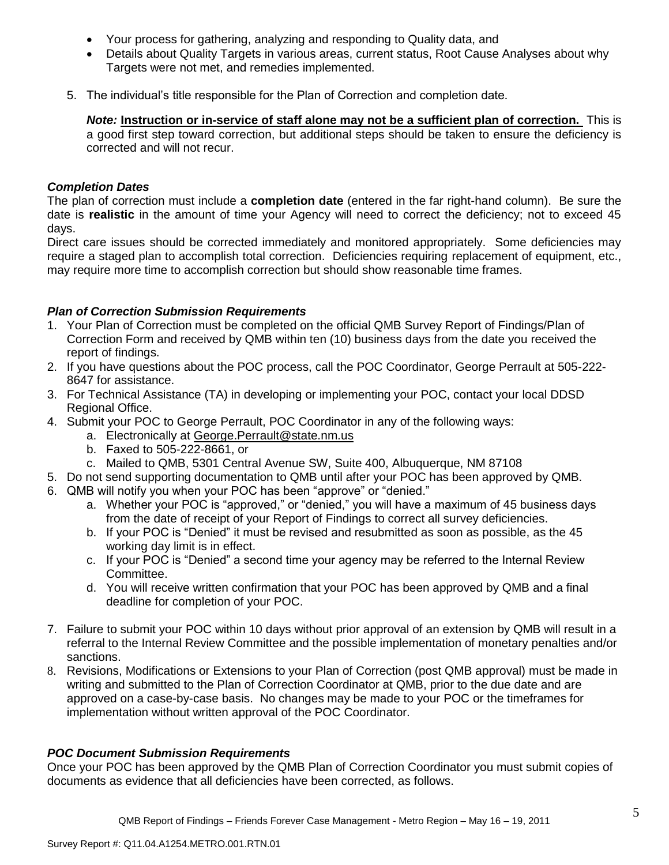- Your process for gathering, analyzing and responding to Quality data, and
- Details about Quality Targets in various areas, current status, Root Cause Analyses about why Targets were not met, and remedies implemented.
- 5. The individual"s title responsible for the Plan of Correction and completion date.

*Note:* **Instruction or in-service of staff alone may not be a sufficient plan of correction.** This is a good first step toward correction, but additional steps should be taken to ensure the deficiency is corrected and will not recur.

### *Completion Dates*

The plan of correction must include a **completion date** (entered in the far right-hand column). Be sure the date is **realistic** in the amount of time your Agency will need to correct the deficiency; not to exceed 45 days.

Direct care issues should be corrected immediately and monitored appropriately. Some deficiencies may require a staged plan to accomplish total correction. Deficiencies requiring replacement of equipment, etc., may require more time to accomplish correction but should show reasonable time frames.

# *Plan of Correction Submission Requirements*

- 1. Your Plan of Correction must be completed on the official QMB Survey Report of Findings/Plan of Correction Form and received by QMB within ten (10) business days from the date you received the report of findings.
- 2. If you have questions about the POC process, call the POC Coordinator, George Perrault at 505-222- 8647 for assistance.
- 3. For Technical Assistance (TA) in developing or implementing your POC, contact your local DDSD Regional Office.
- 4. Submit your POC to George Perrault, POC Coordinator in any of the following ways:
	- a. Electronically at [George.Perrault@state.nm.us](mailto:George.Perrault@state.nm.us)
	- b. Faxed to 505-222-8661, or
	- c. Mailed to QMB, 5301 Central Avenue SW, Suite 400, Albuquerque, NM 87108
- 5. Do not send supporting documentation to QMB until after your POC has been approved by QMB.
- 6. QMB will notify you when your POC has been "approve" or "denied."
	- a. Whether your POC is "approved," or "denied," you will have a maximum of 45 business days from the date of receipt of your Report of Findings to correct all survey deficiencies.
	- b. If your POC is "Denied" it must be revised and resubmitted as soon as possible, as the 45 working day limit is in effect.
	- c. If your POC is "Denied" a second time your agency may be referred to the Internal Review Committee.
	- d. You will receive written confirmation that your POC has been approved by QMB and a final deadline for completion of your POC.
- 7. Failure to submit your POC within 10 days without prior approval of an extension by QMB will result in a referral to the Internal Review Committee and the possible implementation of monetary penalties and/or sanctions.
- 8. Revisions, Modifications or Extensions to your Plan of Correction (post QMB approval) must be made in writing and submitted to the Plan of Correction Coordinator at QMB, prior to the due date and are approved on a case-by-case basis. No changes may be made to your POC or the timeframes for implementation without written approval of the POC Coordinator.

### *POC Document Submission Requirements*

Once your POC has been approved by the QMB Plan of Correction Coordinator you must submit copies of documents as evidence that all deficiencies have been corrected, as follows.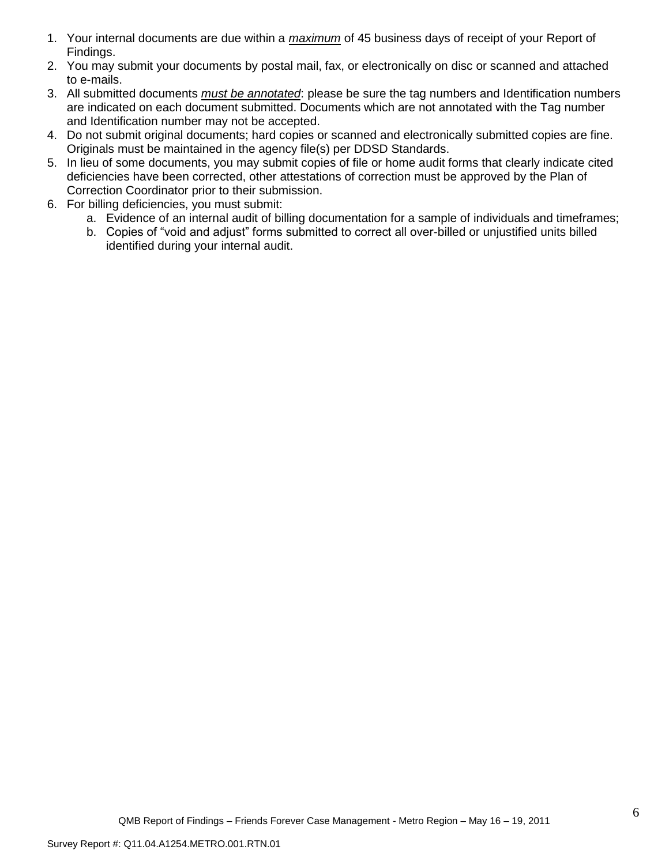- 1. Your internal documents are due within a *maximum* of 45 business days of receipt of your Report of Findings.
- 2. You may submit your documents by postal mail, fax, or electronically on disc or scanned and attached to e-mails.
- 3. All submitted documents *must be annotated*: please be sure the tag numbers and Identification numbers are indicated on each document submitted. Documents which are not annotated with the Tag number and Identification number may not be accepted.
- 4. Do not submit original documents; hard copies or scanned and electronically submitted copies are fine. Originals must be maintained in the agency file(s) per DDSD Standards.
- 5. In lieu of some documents, you may submit copies of file or home audit forms that clearly indicate cited deficiencies have been corrected, other attestations of correction must be approved by the Plan of Correction Coordinator prior to their submission.
- 6. For billing deficiencies, you must submit:
	- a. Evidence of an internal audit of billing documentation for a sample of individuals and timeframes;
	- b. Copies of "void and adjust" forms submitted to correct all over-billed or unjustified units billed identified during your internal audit.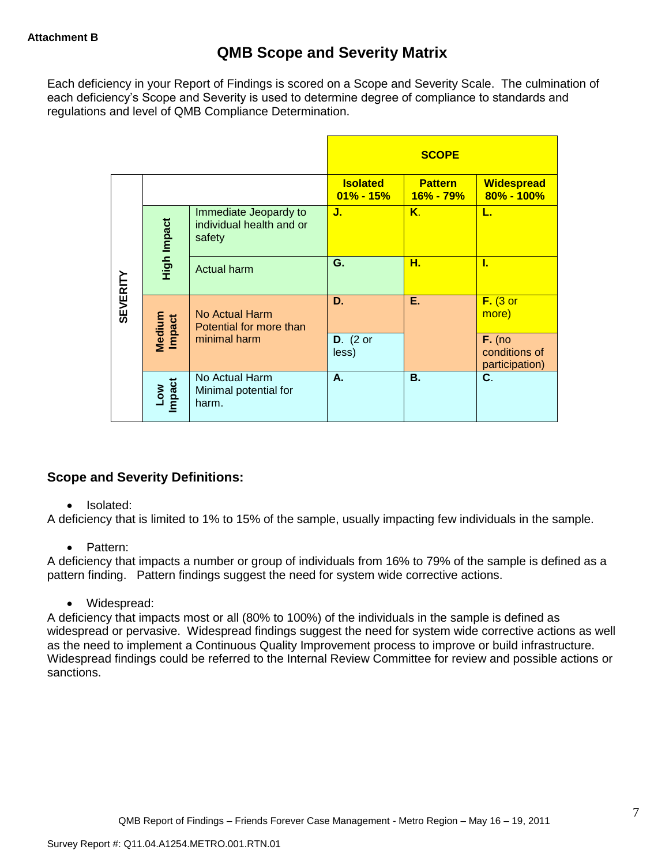Each deficiency in your Report of Findings is scored on a Scope and Severity Scale. The culmination of each deficiency"s Scope and Severity is used to determine degree of compliance to standards and regulations and level of QMB Compliance Determination.

|                 |                                                                            |                                                  |                                  | <b>SCOPE</b>                    |                                             |
|-----------------|----------------------------------------------------------------------------|--------------------------------------------------|----------------------------------|---------------------------------|---------------------------------------------|
|                 |                                                                            |                                                  | <b>Isolated</b><br>$01\% - 15\%$ | <b>Pattern</b><br>$16\% - 79\%$ | <b>Widespread</b><br>$80\% - 100\%$         |
|                 | Immediate Jeopardy to<br>High Impact<br>individual health and or<br>safety |                                                  | J.                               | $K_{\cdot}$                     | L.                                          |
|                 |                                                                            | <b>Actual harm</b>                               | G.                               | н.                              | Τ.                                          |
| <b>SEVERITY</b> | Medium<br>Impact                                                           | No Actual Harm<br>Potential for more than        | D.                               | Ε.                              | $F.$ (3 or<br>more)                         |
|                 |                                                                            | minimal harm                                     | $D.$ (2 or<br>less)              |                                 | $F.$ (no<br>conditions of<br>participation) |
|                 | <b>Impact</b><br><b>Low</b>                                                | No Actual Harm<br>Minimal potential for<br>harm. | А.                               | <b>B.</b>                       | C.                                          |

# **Scope and Severity Definitions:**

### • Isolated:

A deficiency that is limited to 1% to 15% of the sample, usually impacting few individuals in the sample.

### • Pattern:

A deficiency that impacts a number or group of individuals from 16% to 79% of the sample is defined as a pattern finding. Pattern findings suggest the need for system wide corrective actions.

Widespread:

A deficiency that impacts most or all (80% to 100%) of the individuals in the sample is defined as widespread or pervasive. Widespread findings suggest the need for system wide corrective actions as well as the need to implement a Continuous Quality Improvement process to improve or build infrastructure. Widespread findings could be referred to the Internal Review Committee for review and possible actions or sanctions.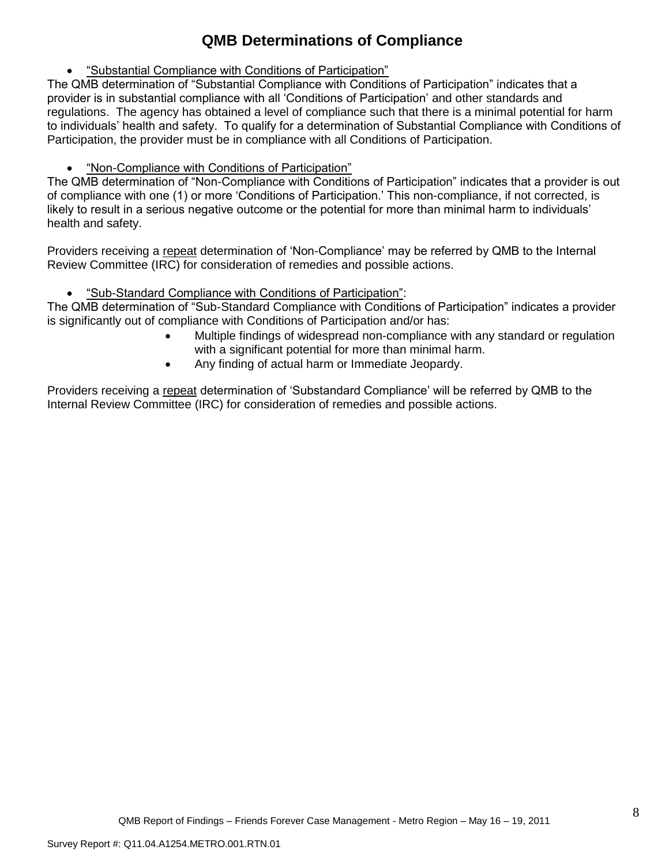# **QMB Determinations of Compliance**

"Substantial Compliance with Conditions of Participation"

The QMB determination of "Substantial Compliance with Conditions of Participation" indicates that a provider is in substantial compliance with all "Conditions of Participation" and other standards and regulations. The agency has obtained a level of compliance such that there is a minimal potential for harm to individuals" health and safety. To qualify for a determination of Substantial Compliance with Conditions of Participation, the provider must be in compliance with all Conditions of Participation.

"Non-Compliance with Conditions of Participation"

The QMB determination of "Non-Compliance with Conditions of Participation" indicates that a provider is out of compliance with one (1) or more "Conditions of Participation." This non-compliance, if not corrected, is likely to result in a serious negative outcome or the potential for more than minimal harm to individuals" health and safety.

Providers receiving a repeat determination of 'Non-Compliance' may be referred by QMB to the Internal Review Committee (IRC) for consideration of remedies and possible actions.

"Sub-Standard Compliance with Conditions of Participation":

The QMB determination of "Sub-Standard Compliance with Conditions of Participation" indicates a provider is significantly out of compliance with Conditions of Participation and/or has:

- Multiple findings of widespread non-compliance with any standard or regulation with a significant potential for more than minimal harm.
- Any finding of actual harm or Immediate Jeopardy.

Providers receiving a repeat determination of 'Substandard Compliance' will be referred by QMB to the Internal Review Committee (IRC) for consideration of remedies and possible actions.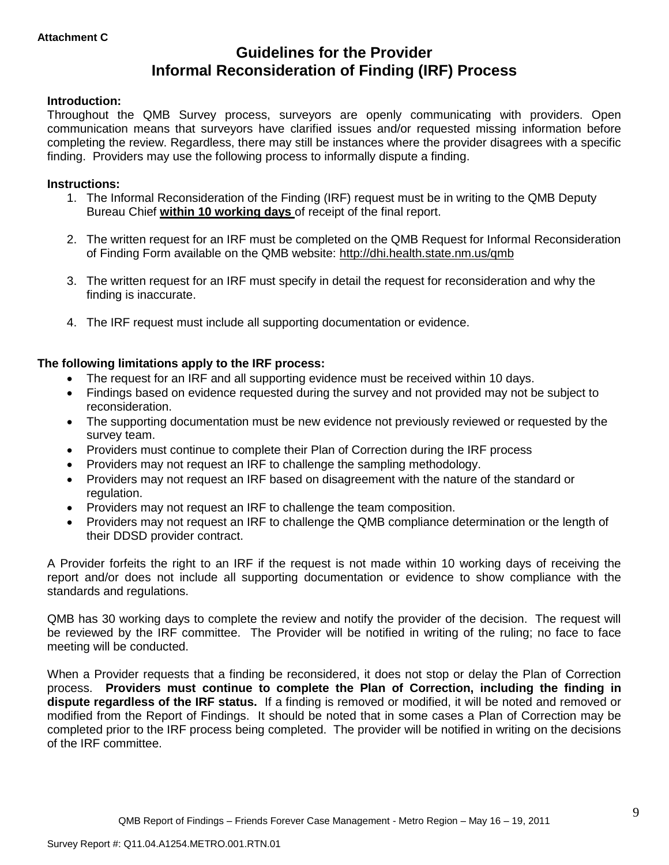# **Guidelines for the Provider Informal Reconsideration of Finding (IRF) Process**

#### **Introduction:**

Throughout the QMB Survey process, surveyors are openly communicating with providers. Open communication means that surveyors have clarified issues and/or requested missing information before completing the review. Regardless, there may still be instances where the provider disagrees with a specific finding. Providers may use the following process to informally dispute a finding.

#### **Instructions:**

- 1. The Informal Reconsideration of the Finding (IRF) request must be in writing to the QMB Deputy Bureau Chief **within 10 working days** of receipt of the final report.
- 2. The written request for an IRF must be completed on the QMB Request for Informal Reconsideration of Finding Form available on the QMB website:<http://dhi.health.state.nm.us/qmb>
- 3. The written request for an IRF must specify in detail the request for reconsideration and why the finding is inaccurate.
- 4. The IRF request must include all supporting documentation or evidence.

#### **The following limitations apply to the IRF process:**

- The request for an IRF and all supporting evidence must be received within 10 days.
- Findings based on evidence requested during the survey and not provided may not be subject to reconsideration.
- The supporting documentation must be new evidence not previously reviewed or requested by the survey team.
- Providers must continue to complete their Plan of Correction during the IRF process
- Providers may not request an IRF to challenge the sampling methodology.
- Providers may not request an IRF based on disagreement with the nature of the standard or regulation.
- Providers may not request an IRF to challenge the team composition.
- Providers may not request an IRF to challenge the QMB compliance determination or the length of their DDSD provider contract.

A Provider forfeits the right to an IRF if the request is not made within 10 working days of receiving the report and/or does not include all supporting documentation or evidence to show compliance with the standards and regulations.

QMB has 30 working days to complete the review and notify the provider of the decision. The request will be reviewed by the IRF committee. The Provider will be notified in writing of the ruling; no face to face meeting will be conducted.

When a Provider requests that a finding be reconsidered, it does not stop or delay the Plan of Correction process. **Providers must continue to complete the Plan of Correction, including the finding in dispute regardless of the IRF status.** If a finding is removed or modified, it will be noted and removed or modified from the Report of Findings. It should be noted that in some cases a Plan of Correction may be completed prior to the IRF process being completed. The provider will be notified in writing on the decisions of the IRF committee.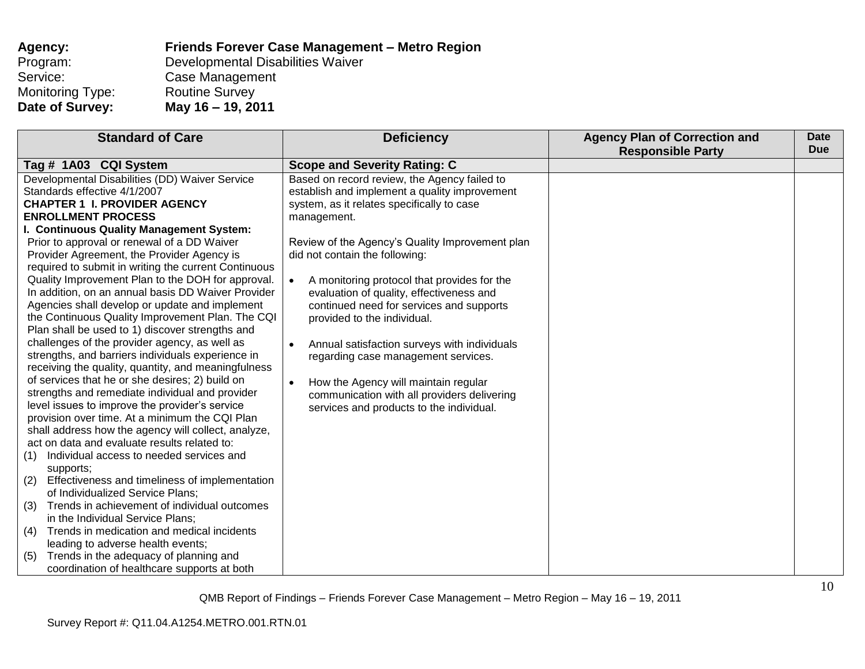| <b>Agency:</b>   | Friends Forever Case Management - Metro Region |
|------------------|------------------------------------------------|
| Program:         | Developmental Disabilities Waiver              |
| Service:         | Case Management                                |
| Monitoring Type: | <b>Routine Survey</b>                          |
| Date of Survey:  | May 16 - 19, 2011                              |

| <b>Standard of Care</b>                               | <b>Deficiency</b>                                         | <b>Agency Plan of Correction and</b> | <b>Date</b><br><b>Due</b> |
|-------------------------------------------------------|-----------------------------------------------------------|--------------------------------------|---------------------------|
|                                                       |                                                           | <b>Responsible Party</b>             |                           |
| Tag # 1A03 CQI System                                 | <b>Scope and Severity Rating: C</b>                       |                                      |                           |
| Developmental Disabilities (DD) Waiver Service        | Based on record review, the Agency failed to              |                                      |                           |
| Standards effective 4/1/2007                          | establish and implement a quality improvement             |                                      |                           |
| <b>CHAPTER 1 I. PROVIDER AGENCY</b>                   | system, as it relates specifically to case                |                                      |                           |
| <b>ENROLLMENT PROCESS</b>                             | management.                                               |                                      |                           |
| I. Continuous Quality Management System:              |                                                           |                                      |                           |
| Prior to approval or renewal of a DD Waiver           | Review of the Agency's Quality Improvement plan           |                                      |                           |
| Provider Agreement, the Provider Agency is            | did not contain the following:                            |                                      |                           |
| required to submit in writing the current Continuous  |                                                           |                                      |                           |
| Quality Improvement Plan to the DOH for approval.     | A monitoring protocol that provides for the               |                                      |                           |
| In addition, on an annual basis DD Waiver Provider    | evaluation of quality, effectiveness and                  |                                      |                           |
| Agencies shall develop or update and implement        | continued need for services and supports                  |                                      |                           |
| the Continuous Quality Improvement Plan. The CQI      | provided to the individual.                               |                                      |                           |
| Plan shall be used to 1) discover strengths and       |                                                           |                                      |                           |
| challenges of the provider agency, as well as         | Annual satisfaction surveys with individuals<br>$\bullet$ |                                      |                           |
| strengths, and barriers individuals experience in     | regarding case management services.                       |                                      |                           |
| receiving the quality, quantity, and meaningfulness   |                                                           |                                      |                           |
| of services that he or she desires; 2) build on       | How the Agency will maintain regular<br>$\bullet$         |                                      |                           |
| strengths and remediate individual and provider       | communication with all providers delivering               |                                      |                           |
| level issues to improve the provider's service        | services and products to the individual.                  |                                      |                           |
| provision over time. At a minimum the CQI Plan        |                                                           |                                      |                           |
| shall address how the agency will collect, analyze,   |                                                           |                                      |                           |
| act on data and evaluate results related to:          |                                                           |                                      |                           |
| Individual access to needed services and<br>(1)       |                                                           |                                      |                           |
| supports;                                             |                                                           |                                      |                           |
| Effectiveness and timeliness of implementation<br>(2) |                                                           |                                      |                           |
| of Individualized Service Plans;                      |                                                           |                                      |                           |
| Trends in achievement of individual outcomes<br>(3)   |                                                           |                                      |                           |
| in the Individual Service Plans;                      |                                                           |                                      |                           |
| Trends in medication and medical incidents<br>(4)     |                                                           |                                      |                           |
| leading to adverse health events;                     |                                                           |                                      |                           |
| Trends in the adequacy of planning and<br>(5)         |                                                           |                                      |                           |
| coordination of healthcare supports at both           |                                                           |                                      |                           |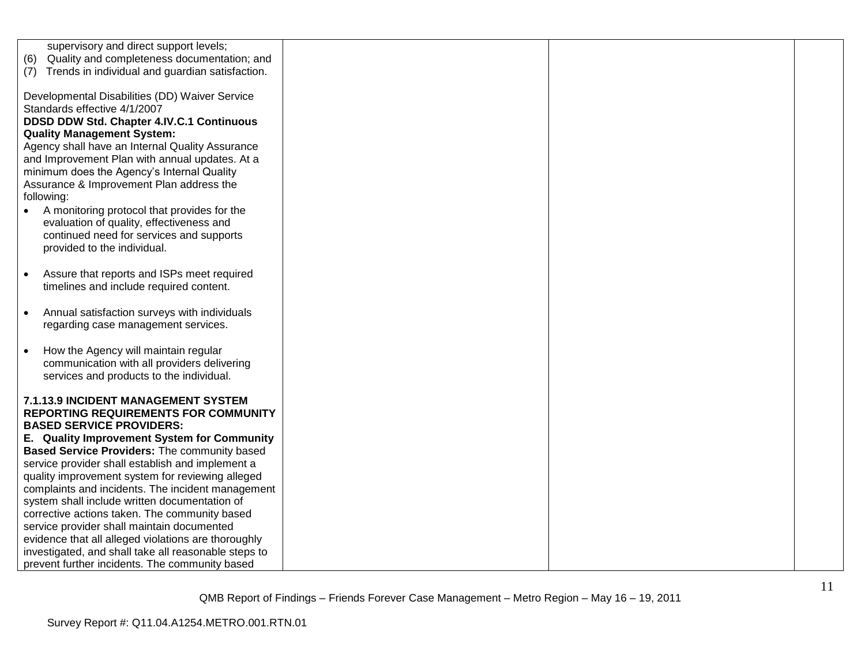| supervisory and direct support levels;<br>Quality and completeness documentation; and<br>(6)     |  |  |
|--------------------------------------------------------------------------------------------------|--|--|
| (7) Trends in individual and guardian satisfaction.                                              |  |  |
| Developmental Disabilities (DD) Waiver Service                                                   |  |  |
| Standards effective 4/1/2007                                                                     |  |  |
| DDSD DDW Std. Chapter 4.IV.C.1 Continuous<br><b>Quality Management System:</b>                   |  |  |
| Agency shall have an Internal Quality Assurance                                                  |  |  |
| and Improvement Plan with annual updates. At a                                                   |  |  |
| minimum does the Agency's Internal Quality                                                       |  |  |
| Assurance & Improvement Plan address the                                                         |  |  |
| following:<br>A monitoring protocol that provides for the                                        |  |  |
| evaluation of quality, effectiveness and                                                         |  |  |
| continued need for services and supports                                                         |  |  |
| provided to the individual.                                                                      |  |  |
| Assure that reports and ISPs meet required<br>$\bullet$                                          |  |  |
| timelines and include required content.                                                          |  |  |
|                                                                                                  |  |  |
| Annual satisfaction surveys with individuals<br>$\bullet$                                        |  |  |
| regarding case management services.                                                              |  |  |
| How the Agency will maintain regular<br>$\bullet$                                                |  |  |
| communication with all providers delivering                                                      |  |  |
| services and products to the individual.                                                         |  |  |
| 7.1.13.9 INCIDENT MANAGEMENT SYSTEM                                                              |  |  |
| <b>REPORTING REQUIREMENTS FOR COMMUNITY</b>                                                      |  |  |
| <b>BASED SERVICE PROVIDERS:</b>                                                                  |  |  |
| E. Quality Improvement System for Community                                                      |  |  |
| Based Service Providers: The community based<br>service provider shall establish and implement a |  |  |
| quality improvement system for reviewing alleged                                                 |  |  |
| complaints and incidents. The incident management                                                |  |  |
| system shall include written documentation of                                                    |  |  |
| corrective actions taken. The community based<br>service provider shall maintain documented      |  |  |
| evidence that all alleged violations are thoroughly                                              |  |  |
| investigated, and shall take all reasonable steps to                                             |  |  |
| prevent further incidents. The community based                                                   |  |  |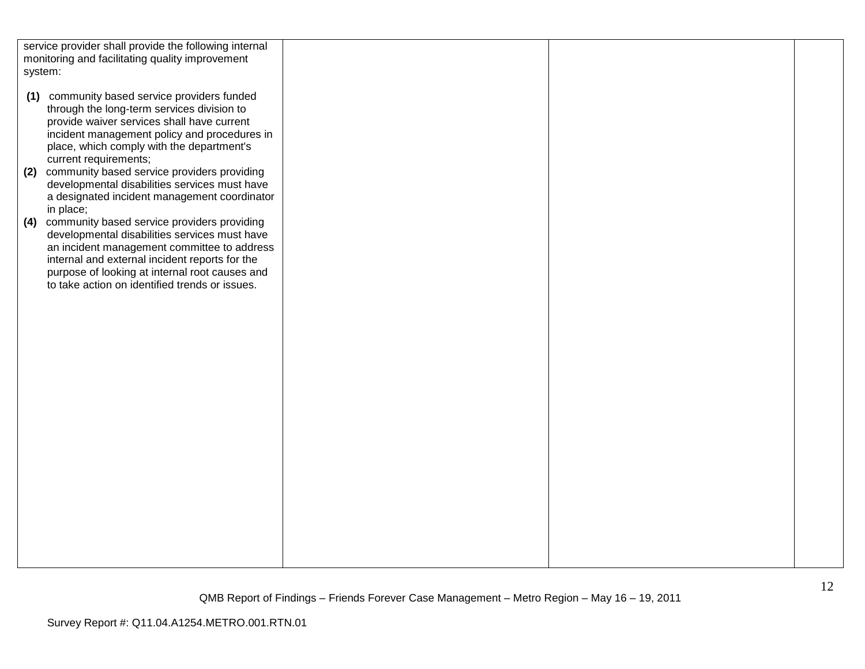| system: | service provider shall provide the following internal<br>monitoring and facilitating quality improvement                                                                                                                                                                                          |  |  |
|---------|---------------------------------------------------------------------------------------------------------------------------------------------------------------------------------------------------------------------------------------------------------------------------------------------------|--|--|
| (1)     | community based service providers funded<br>through the long-term services division to<br>provide waiver services shall have current<br>incident management policy and procedures in<br>place, which comply with the department's<br>current requirements;                                        |  |  |
| (2)     | community based service providers providing<br>developmental disabilities services must have<br>a designated incident management coordinator<br>in place;                                                                                                                                         |  |  |
| (4)     | community based service providers providing<br>developmental disabilities services must have<br>an incident management committee to address<br>internal and external incident reports for the<br>purpose of looking at internal root causes and<br>to take action on identified trends or issues. |  |  |
|         |                                                                                                                                                                                                                                                                                                   |  |  |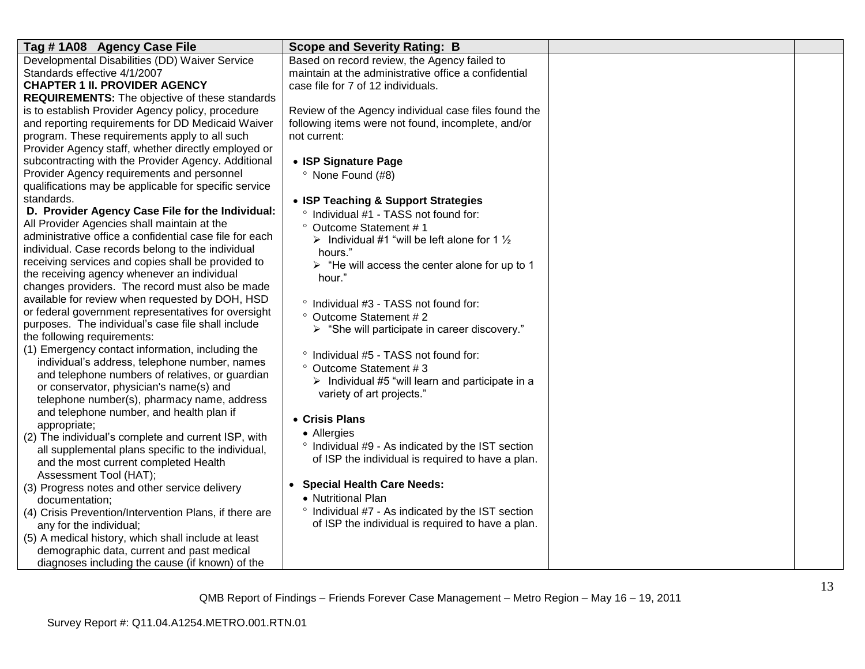| Tag #1A08 Agency Case File                              | <b>Scope and Severity Rating: B</b>                                                                    |  |
|---------------------------------------------------------|--------------------------------------------------------------------------------------------------------|--|
| Developmental Disabilities (DD) Waiver Service          | Based on record review, the Agency failed to                                                           |  |
| Standards effective 4/1/2007                            | maintain at the administrative office a confidential                                                   |  |
| <b>CHAPTER 1 II. PROVIDER AGENCY</b>                    | case file for 7 of 12 individuals.                                                                     |  |
| <b>REQUIREMENTS:</b> The objective of these standards   |                                                                                                        |  |
| is to establish Provider Agency policy, procedure       | Review of the Agency individual case files found the                                                   |  |
| and reporting requirements for DD Medicaid Waiver       | following items were not found, incomplete, and/or                                                     |  |
| program. These requirements apply to all such           | not current:                                                                                           |  |
| Provider Agency staff, whether directly employed or     |                                                                                                        |  |
| subcontracting with the Provider Agency. Additional     | • ISP Signature Page                                                                                   |  |
| Provider Agency requirements and personnel              | <sup>o</sup> None Found (#8)                                                                           |  |
| qualifications may be applicable for specific service   |                                                                                                        |  |
| standards.                                              | • ISP Teaching & Support Strategies                                                                    |  |
| D. Provider Agency Case File for the Individual:        | ° Individual #1 - TASS not found for:                                                                  |  |
| All Provider Agencies shall maintain at the             | ° Outcome Statement #1                                                                                 |  |
| administrative office a confidential case file for each | > Individual #1 "will be left alone for 1 $\frac{1}{2}$                                                |  |
| individual. Case records belong to the individual       | hours."                                                                                                |  |
| receiving services and copies shall be provided to      | $\triangleright$ "He will access the center alone for up to 1                                          |  |
| the receiving agency whenever an individual             | hour."                                                                                                 |  |
| changes providers. The record must also be made         |                                                                                                        |  |
| available for review when requested by DOH, HSD         | ° Individual #3 - TASS not found for:                                                                  |  |
| or federal government representatives for oversight     | ° Outcome Statement #2                                                                                 |  |
| purposes. The individual's case file shall include      | > "She will participate in career discovery."                                                          |  |
| the following requirements:                             |                                                                                                        |  |
| (1) Emergency contact information, including the        | ° Individual #5 - TASS not found for:                                                                  |  |
| individual's address, telephone number, names           | ° Outcome Statement #3                                                                                 |  |
| and telephone numbers of relatives, or guardian         | $\triangleright$ Individual #5 "will learn and participate in a                                        |  |
| or conservator, physician's name(s) and                 | variety of art projects."                                                                              |  |
| telephone number(s), pharmacy name, address             |                                                                                                        |  |
| and telephone number, and health plan if                | • Crisis Plans                                                                                         |  |
| appropriate;                                            | • Allergies                                                                                            |  |
| (2) The individual's complete and current ISP, with     |                                                                                                        |  |
| all supplemental plans specific to the individual,      | ° Individual #9 - As indicated by the IST section<br>of ISP the individual is required to have a plan. |  |
| and the most current completed Health                   |                                                                                                        |  |
| Assessment Tool (HAT);                                  |                                                                                                        |  |
| (3) Progress notes and other service delivery           | • Special Health Care Needs:                                                                           |  |
| documentation;                                          | • Nutritional Plan                                                                                     |  |
| (4) Crisis Prevention/Intervention Plans, if there are  | ° Individual #7 - As indicated by the IST section                                                      |  |
| any for the individual;                                 | of ISP the individual is required to have a plan.                                                      |  |
| (5) A medical history, which shall include at least     |                                                                                                        |  |
| demographic data, current and past medical              |                                                                                                        |  |
| diagnoses including the cause (if known) of the         |                                                                                                        |  |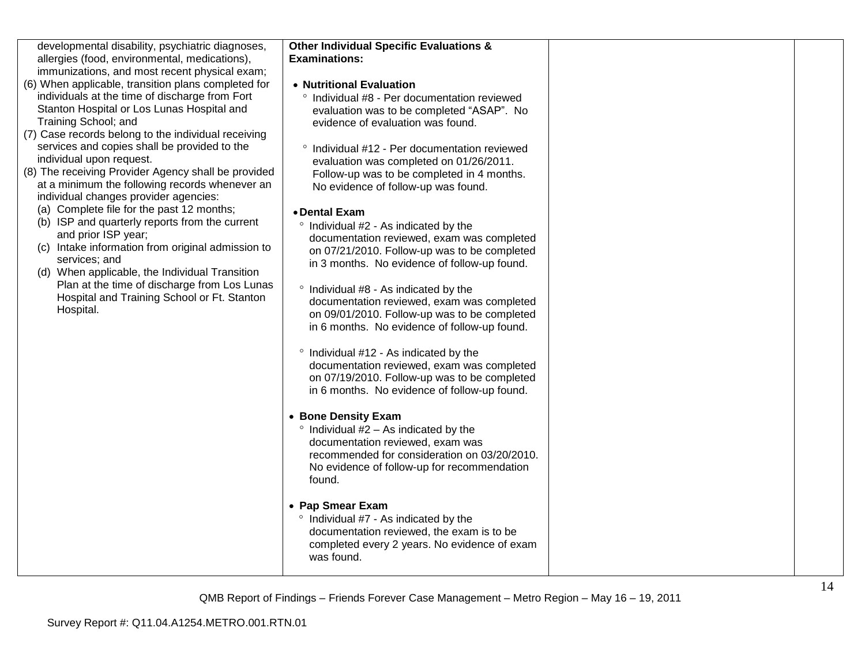| developmental disability, psychiatric diagnoses, |
|--------------------------------------------------|
| allergies (food, environmental, medications),    |
| immunizations, and most recent physical exam;    |

- (6) When applicable, transition plans completed for individuals at the time of discharge from Fort Stanton Hospital or Los Lunas Hospital and Training School; and
- (7) Case records belong to the individual receiving services and copies shall be provided to the individual upon request.
- (8) The receiving Provider Agency shall be provided at a minimum the following records whenever an individual changes provider agencies:
	- (a) Complete file for the past 12 months;
	- (b) ISP and quarterly reports from the current and prior ISP year;
	- (c) Intake information from original admission to services; and
	- (d) When applicable, the Individual Transition Plan at the time of discharge from Los Lunas Hospital and Training School or Ft. Stanton Hospital.

#### **Other Individual Specific Evaluations & Examinations:**

#### **Nutritional Evaluation**

 Individual #8 - Per documentation reviewed evaluation was to be completed "ASAP". No evidence of evaluation was found.

 $\degree$  Individual #12 - Per documentation reviewed evaluation was completed on 01/26/2011. Follow-up was to be completed in 4 months. No evidence of follow-up was found.

#### **Dental Exam**

- $\degree$  Individual #2 As indicated by the documentation reviewed, exam was completed on 07/21/2010. Follow-up was to be completed in 3 months. No evidence of follow-up found.
- $\degree$  Individual #8 As indicated by the documentation reviewed, exam was completed on 09/01/2010. Follow-up was to be completed in 6 months. No evidence of follow-up found.
- $\degree$  Individual #12 As indicated by the documentation reviewed, exam was completed on 07/19/2010. Follow-up was to be completed in 6 months. No evidence of follow-up found.
- **Bone Density Exam**
- $\degree$  Individual #2 As indicated by the documentation reviewed, exam was recommended for consideration on 03/20/2010. No evidence of follow-up for recommendation found.
- **Pap Smear Exam** 
	- $\degree$  Individual #7 As indicated by the documentation reviewed, the exam is to be completed every 2 years. No evidence of exam was found.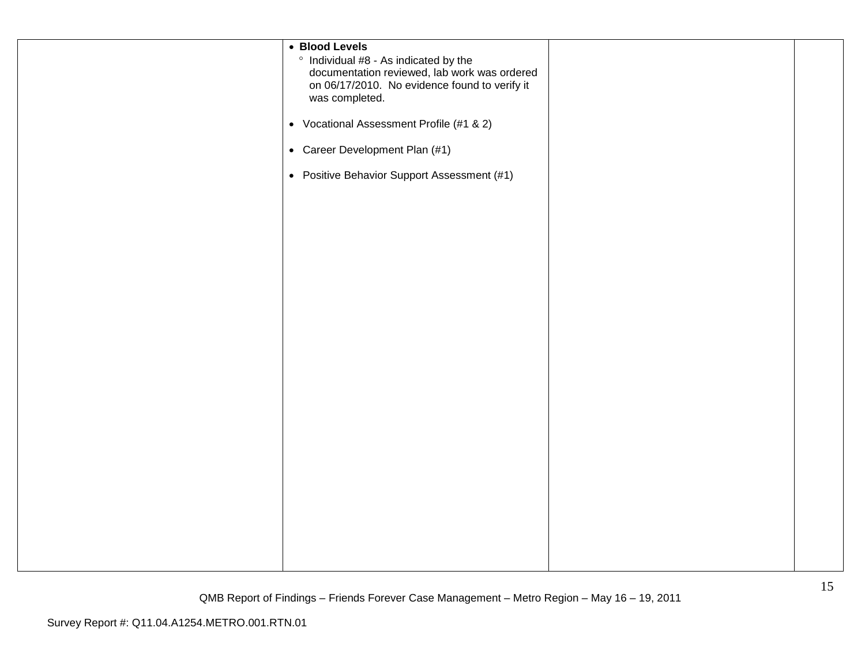| • Blood Levels<br>° Individual #8 - As indicated by the<br>documentation reviewed, lab work was ordered<br>on 06/17/2010. No evidence found to verify it<br>was completed. |  |
|----------------------------------------------------------------------------------------------------------------------------------------------------------------------------|--|
| • Vocational Assessment Profile (#1 & 2)                                                                                                                                   |  |
| • Career Development Plan (#1)                                                                                                                                             |  |
| • Positive Behavior Support Assessment (#1)                                                                                                                                |  |
|                                                                                                                                                                            |  |
|                                                                                                                                                                            |  |
|                                                                                                                                                                            |  |
|                                                                                                                                                                            |  |
|                                                                                                                                                                            |  |
|                                                                                                                                                                            |  |
|                                                                                                                                                                            |  |
|                                                                                                                                                                            |  |
|                                                                                                                                                                            |  |
|                                                                                                                                                                            |  |
|                                                                                                                                                                            |  |
|                                                                                                                                                                            |  |
|                                                                                                                                                                            |  |
|                                                                                                                                                                            |  |
|                                                                                                                                                                            |  |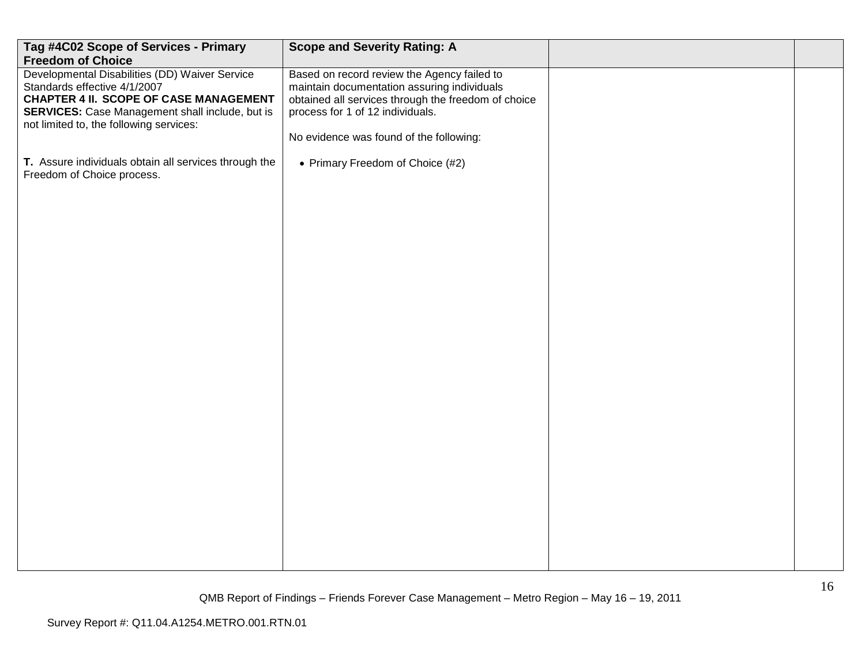| Tag #4C02 Scope of Services - Primary<br><b>Freedom of Choice</b>                                                                                                                                                             | <b>Scope and Severity Rating: A</b>                                                                                                                                                                                              |  |
|-------------------------------------------------------------------------------------------------------------------------------------------------------------------------------------------------------------------------------|----------------------------------------------------------------------------------------------------------------------------------------------------------------------------------------------------------------------------------|--|
| Developmental Disabilities (DD) Waiver Service<br>Standards effective 4/1/2007<br><b>CHAPTER 4 II. SCOPE OF CASE MANAGEMENT</b><br>SERVICES: Case Management shall include, but is<br>not limited to, the following services: | Based on record review the Agency failed to<br>maintain documentation assuring individuals<br>obtained all services through the freedom of choice<br>process for 1 of 12 individuals.<br>No evidence was found of the following: |  |
| T. Assure individuals obtain all services through the<br>Freedom of Choice process.                                                                                                                                           | • Primary Freedom of Choice (#2)                                                                                                                                                                                                 |  |
|                                                                                                                                                                                                                               |                                                                                                                                                                                                                                  |  |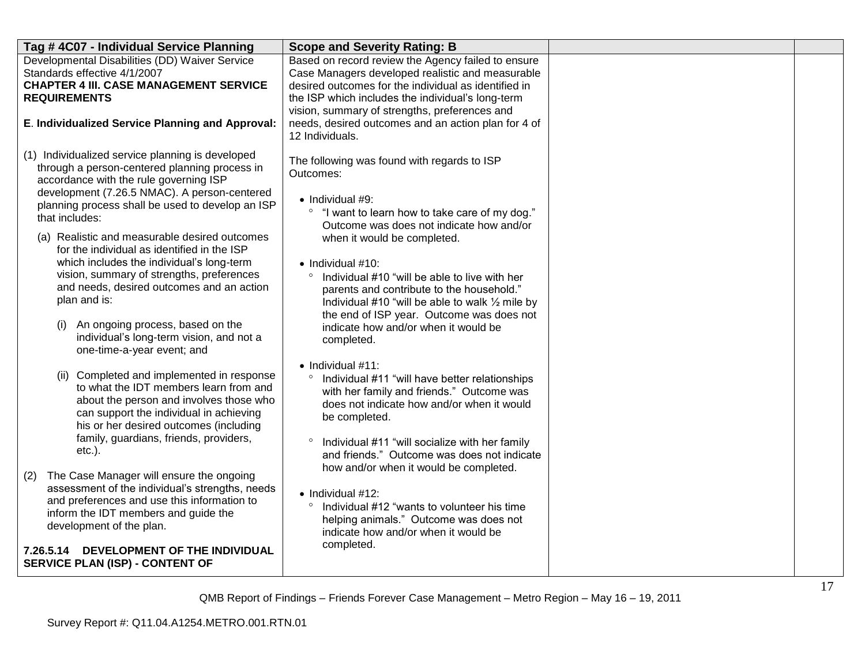| Tag #4C07 - Individual Service Planning                                                                                                                                                                                                                                                                                                                                                                                                                                                                                                                                                                             | <b>Scope and Severity Rating: B</b>                                                                                                                                                                                                                                                                                                                                                                                                                                                                                                             |  |
|---------------------------------------------------------------------------------------------------------------------------------------------------------------------------------------------------------------------------------------------------------------------------------------------------------------------------------------------------------------------------------------------------------------------------------------------------------------------------------------------------------------------------------------------------------------------------------------------------------------------|-------------------------------------------------------------------------------------------------------------------------------------------------------------------------------------------------------------------------------------------------------------------------------------------------------------------------------------------------------------------------------------------------------------------------------------------------------------------------------------------------------------------------------------------------|--|
| Developmental Disabilities (DD) Waiver Service<br>Standards effective 4/1/2007<br><b>CHAPTER 4 III. CASE MANAGEMENT SERVICE</b><br><b>REQUIREMENTS</b>                                                                                                                                                                                                                                                                                                                                                                                                                                                              | Based on record review the Agency failed to ensure<br>Case Managers developed realistic and measurable<br>desired outcomes for the individual as identified in<br>the ISP which includes the individual's long-term<br>vision, summary of strengths, preferences and                                                                                                                                                                                                                                                                            |  |
| E. Individualized Service Planning and Approval:                                                                                                                                                                                                                                                                                                                                                                                                                                                                                                                                                                    | needs, desired outcomes and an action plan for 4 of<br>12 Individuals.                                                                                                                                                                                                                                                                                                                                                                                                                                                                          |  |
| (1) Individualized service planning is developed<br>through a person-centered planning process in<br>accordance with the rule governing ISP<br>development (7.26.5 NMAC). A person-centered<br>planning process shall be used to develop an ISP<br>that includes:<br>(a) Realistic and measurable desired outcomes<br>for the individual as identified in the ISP<br>which includes the individual's long-term<br>vision, summary of strengths, preferences<br>and needs, desired outcomes and an action<br>plan and is:<br>An ongoing process, based on the<br>(i)<br>individual's long-term vision, and not a     | The following was found with regards to ISP<br>Outcomes:<br>$\bullet$ Individual #9:<br>"I want to learn how to take care of my dog."<br>$\circ$<br>Outcome was does not indicate how and/or<br>when it would be completed.<br>$\bullet$ Individual #10:<br>Individual #10 "will be able to live with her<br>$\circ$<br>parents and contribute to the household."<br>Individual #10 "will be able to walk $\frac{1}{2}$ mile by<br>the end of ISP year. Outcome was does not<br>indicate how and/or when it would be<br>completed.              |  |
| one-time-a-year event; and<br>(ii) Completed and implemented in response<br>to what the IDT members learn from and<br>about the person and involves those who<br>can support the individual in achieving<br>his or her desired outcomes (including<br>family, guardians, friends, providers,<br>$etc.$ ).<br>The Case Manager will ensure the ongoing<br>(2)<br>assessment of the individual's strengths, needs<br>and preferences and use this information to<br>inform the IDT members and guide the<br>development of the plan.<br>DEVELOPMENT OF THE INDIVIDUAL<br>7.26.5.14<br>SERVICE PLAN (ISP) - CONTENT OF | $\bullet$ Individual #11:<br>Individual #11 "will have better relationships<br>$\circ$<br>with her family and friends." Outcome was<br>does not indicate how and/or when it would<br>be completed.<br>Individual #11 "will socialize with her family<br>$\circ$<br>and friends." Outcome was does not indicate<br>how and/or when it would be completed.<br>$\bullet$ Individual #12:<br>Individual #12 "wants to volunteer his time<br>$\circ$<br>helping animals." Outcome was does not<br>indicate how and/or when it would be<br>completed. |  |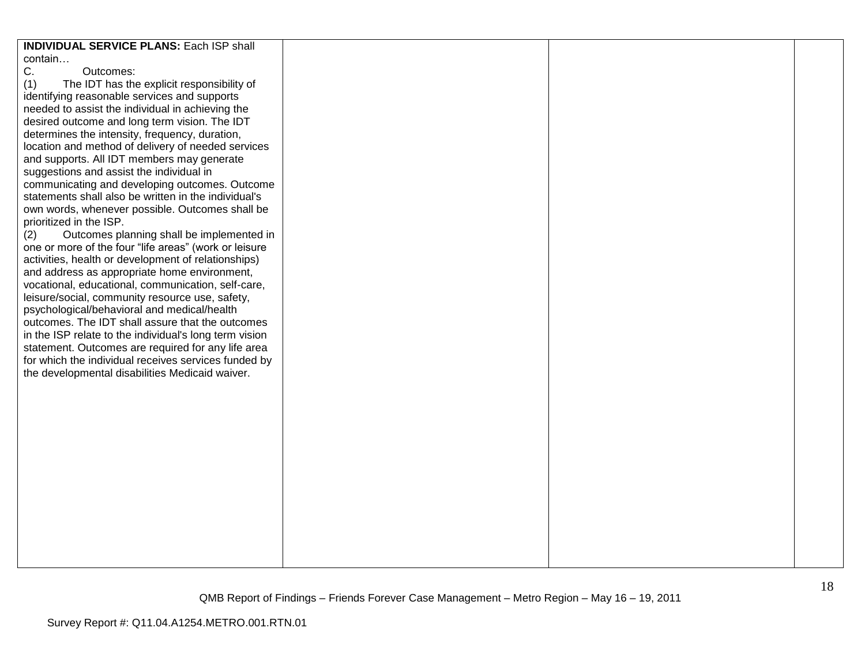| <b>INDIVIDUAL SERVICE PLANS: Each ISP shall</b>        |  |  |
|--------------------------------------------------------|--|--|
|                                                        |  |  |
| contain                                                |  |  |
| C.<br>Outcomes:                                        |  |  |
| (1)<br>The IDT has the explicit responsibility of      |  |  |
| identifying reasonable services and supports           |  |  |
| needed to assist the individual in achieving the       |  |  |
| desired outcome and long term vision. The IDT          |  |  |
| determines the intensity, frequency, duration,         |  |  |
|                                                        |  |  |
| location and method of delivery of needed services     |  |  |
| and supports. All IDT members may generate             |  |  |
| suggestions and assist the individual in               |  |  |
| communicating and developing outcomes. Outcome         |  |  |
| statements shall also be written in the individual's   |  |  |
| own words, whenever possible. Outcomes shall be        |  |  |
| prioritized in the ISP.                                |  |  |
| Outcomes planning shall be implemented in<br>(2)       |  |  |
| one or more of the four "life areas" (work or leisure  |  |  |
| activities, health or development of relationships)    |  |  |
|                                                        |  |  |
| and address as appropriate home environment,           |  |  |
| vocational, educational, communication, self-care,     |  |  |
| leisure/social, community resource use, safety,        |  |  |
| psychological/behavioral and medical/health            |  |  |
| outcomes. The IDT shall assure that the outcomes       |  |  |
| in the ISP relate to the individual's long term vision |  |  |
| statement. Outcomes are required for any life area     |  |  |
| for which the individual receives services funded by   |  |  |
| the developmental disabilities Medicaid waiver.        |  |  |
|                                                        |  |  |
|                                                        |  |  |
|                                                        |  |  |
|                                                        |  |  |
|                                                        |  |  |
|                                                        |  |  |
|                                                        |  |  |
|                                                        |  |  |
|                                                        |  |  |
|                                                        |  |  |
|                                                        |  |  |
|                                                        |  |  |
|                                                        |  |  |
|                                                        |  |  |
|                                                        |  |  |
|                                                        |  |  |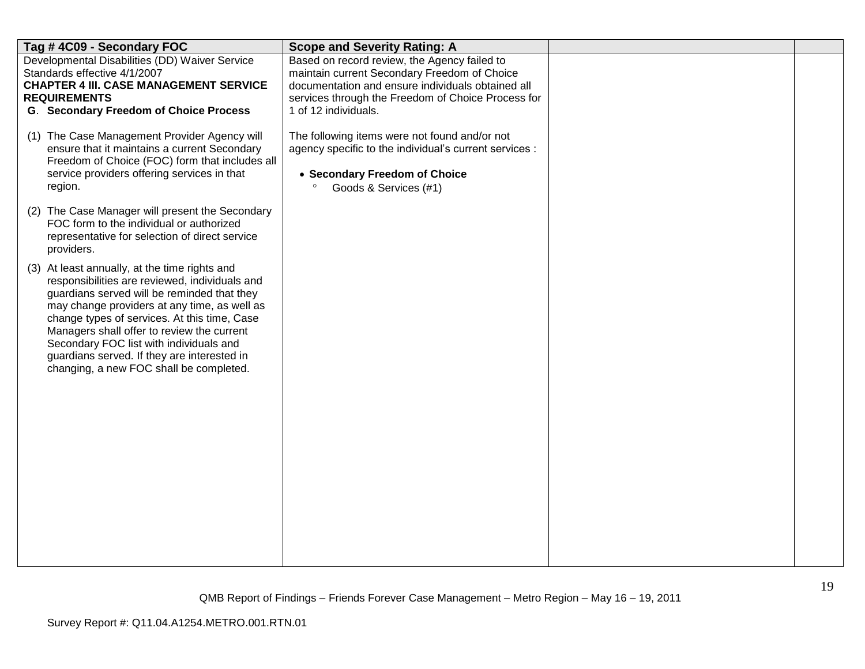| Tag #4C09 - Secondary FOC                                                                                                                                                                                                                                                                                                                                                                                                         | <b>Scope and Severity Rating: A</b>                                                                                                                                                                                             |  |
|-----------------------------------------------------------------------------------------------------------------------------------------------------------------------------------------------------------------------------------------------------------------------------------------------------------------------------------------------------------------------------------------------------------------------------------|---------------------------------------------------------------------------------------------------------------------------------------------------------------------------------------------------------------------------------|--|
| Developmental Disabilities (DD) Waiver Service<br>Standards effective 4/1/2007<br><b>CHAPTER 4 III. CASE MANAGEMENT SERVICE</b><br><b>REQUIREMENTS</b><br><b>G. Secondary Freedom of Choice Process</b>                                                                                                                                                                                                                           | Based on record review, the Agency failed to<br>maintain current Secondary Freedom of Choice<br>documentation and ensure individuals obtained all<br>services through the Freedom of Choice Process for<br>1 of 12 individuals. |  |
| (1) The Case Management Provider Agency will<br>ensure that it maintains a current Secondary<br>Freedom of Choice (FOC) form that includes all<br>service providers offering services in that<br>region.<br>(2) The Case Manager will present the Secondary                                                                                                                                                                       | The following items were not found and/or not<br>agency specific to the individual's current services :<br>• Secondary Freedom of Choice<br>Goods & Services (#1)                                                               |  |
| FOC form to the individual or authorized<br>representative for selection of direct service<br>providers.                                                                                                                                                                                                                                                                                                                          |                                                                                                                                                                                                                                 |  |
| (3) At least annually, at the time rights and<br>responsibilities are reviewed, individuals and<br>guardians served will be reminded that they<br>may change providers at any time, as well as<br>change types of services. At this time, Case<br>Managers shall offer to review the current<br>Secondary FOC list with individuals and<br>guardians served. If they are interested in<br>changing, a new FOC shall be completed. |                                                                                                                                                                                                                                 |  |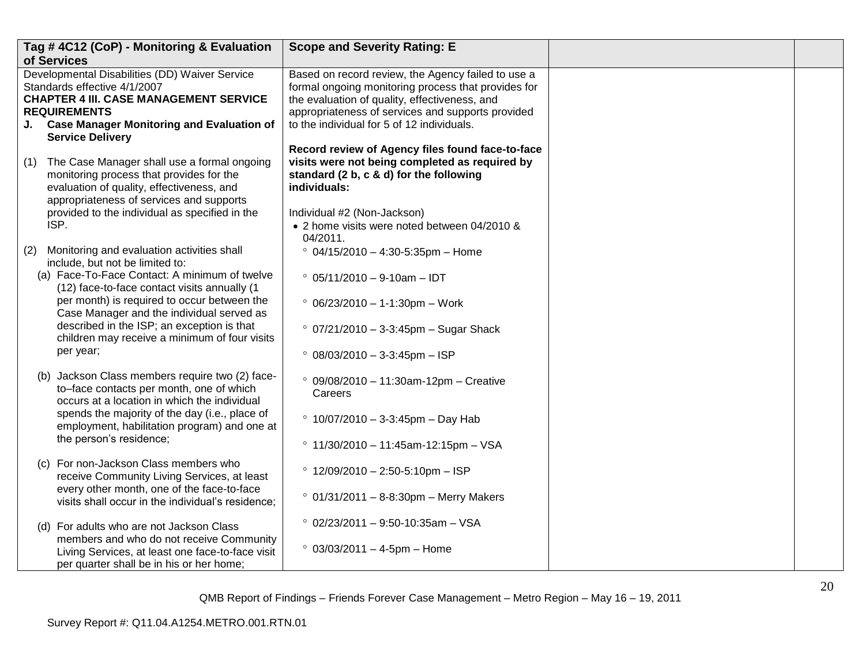|     | Tag #4C12 (CoP) - Monitoring & Evaluation<br>of Services                                                                                                                                                                                                                                                                                                                               | <b>Scope and Severity Rating: E</b>                                                                                                                                                                                                                                                                               |  |
|-----|----------------------------------------------------------------------------------------------------------------------------------------------------------------------------------------------------------------------------------------------------------------------------------------------------------------------------------------------------------------------------------------|-------------------------------------------------------------------------------------------------------------------------------------------------------------------------------------------------------------------------------------------------------------------------------------------------------------------|--|
|     | Developmental Disabilities (DD) Waiver Service<br>Standards effective 4/1/2007<br><b>CHAPTER 4 III. CASE MANAGEMENT SERVICE</b><br><b>REQUIREMENTS</b><br>J. Case Manager Monitoring and Evaluation of<br><b>Service Delivery</b>                                                                                                                                                      | Based on record review, the Agency failed to use a<br>formal ongoing monitoring process that provides for<br>the evaluation of quality, effectiveness, and<br>appropriateness of services and supports provided<br>to the individual for 5 of 12 individuals.<br>Record review of Agency files found face-to-face |  |
|     | (1) The Case Manager shall use a formal ongoing<br>monitoring process that provides for the<br>evaluation of quality, effectiveness, and<br>appropriateness of services and supports<br>provided to the individual as specified in the<br>ISP.                                                                                                                                         | visits were not being completed as required by<br>standard (2 b, c & d) for the following<br>individuals:<br>Individual #2 (Non-Jackson)<br>• 2 home visits were noted between 04/2010 &<br>04/2011.                                                                                                              |  |
| (2) | Monitoring and evaluation activities shall<br>include, but not be limited to:<br>(a) Face-To-Face Contact: A minimum of twelve<br>(12) face-to-face contact visits annually (1<br>per month) is required to occur between the<br>Case Manager and the individual served as<br>described in the ISP; an exception is that<br>children may receive a minimum of four visits<br>per year; | $^{\circ}$ 04/15/2010 - 4:30-5:35pm - Home<br>$°$ 05/11/2010 - 9-10am - IDT<br>$\degree$ 06/23/2010 - 1-1:30pm - Work<br>$° 07/21/2010 - 3-3:45$ pm - Sugar Shack<br>$°08/03/2010 - 3-3:45$ pm - ISP                                                                                                              |  |
|     | (b) Jackson Class members require two (2) face-<br>to-face contacts per month, one of which<br>occurs at a location in which the individual<br>spends the majority of the day (i.e., place of<br>employment, habilitation program) and one at<br>the person's residence;                                                                                                               | $°09/08/2010 - 11:30am-12pm - Creative$<br>Careers<br>$^{\circ}$ 10/07/2010 - 3-3:45pm - Day Hab<br>$\degree$ 11/30/2010 - 11:45am-12:15pm - VSA                                                                                                                                                                  |  |
|     | (c) For non-Jackson Class members who<br>receive Community Living Services, at least<br>every other month, one of the face-to-face<br>visits shall occur in the individual's residence;                                                                                                                                                                                                | $^{\circ}$ 12/09/2010 - 2:50-5:10pm - ISP<br>$^{\circ}$ 01/31/2011 - 8-8:30pm - Merry Makers                                                                                                                                                                                                                      |  |
|     | (d) For adults who are not Jackson Class<br>members and who do not receive Community<br>Living Services, at least one face-to-face visit<br>per quarter shall be in his or her home;                                                                                                                                                                                                   | $^{\circ}$ 02/23/2011 - 9:50-10:35am - VSA<br>$° 03/03/2011 - 4-5pm - Home$                                                                                                                                                                                                                                       |  |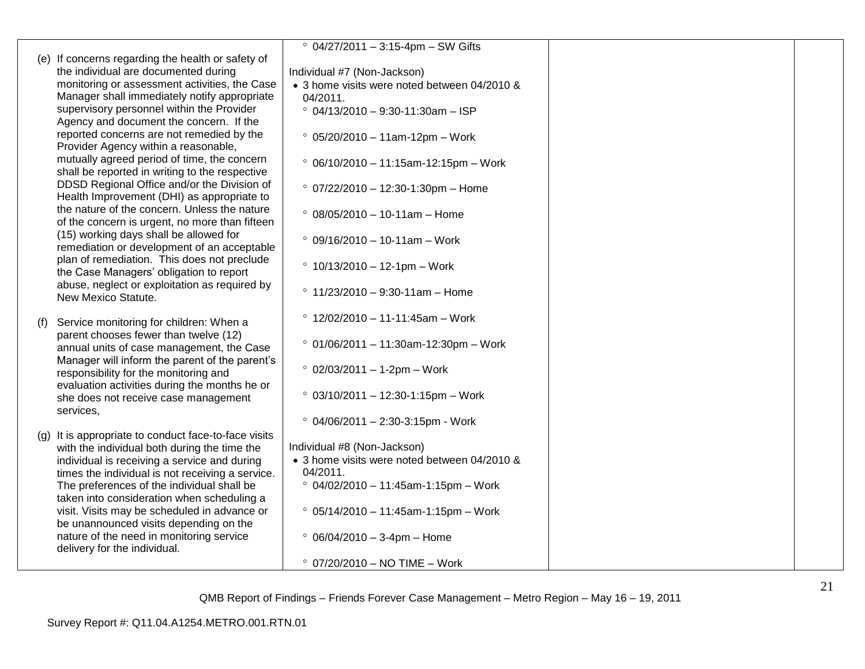|                                                      | $° 04/27/2011 - 3:15-4pm - SW Gifts$         |  |
|------------------------------------------------------|----------------------------------------------|--|
| (e) If concerns regarding the health or safety of    |                                              |  |
| the individual are documented during                 | Individual #7 (Non-Jackson)                  |  |
| monitoring or assessment activities, the Case        | • 3 home visits were noted between 04/2010 & |  |
| Manager shall immediately notify appropriate         | 04/2011.                                     |  |
| supervisory personnel within the Provider            | $^{\circ}$ 04/13/2010 - 9:30-11:30am - ISP   |  |
| Agency and document the concern. If the              |                                              |  |
| reported concerns are not remedied by the            |                                              |  |
| Provider Agency within a reasonable,                 | $° 05/20/2010 - 11am-12pm - Work$            |  |
| mutually agreed period of time, the concern          |                                              |  |
| shall be reported in writing to the respective       | $°06/10/2010 - 11:15am-12:15pm - Work$       |  |
| DDSD Regional Office and/or the Division of          |                                              |  |
| Health Improvement (DHI) as appropriate to           | $° 07/22/2010 - 12:30 - 1:30$ pm - Home      |  |
| the nature of the concern. Unless the nature         |                                              |  |
| of the concern is urgent, no more than fifteen       | $\degree$ 08/05/2010 - 10-11am - Home        |  |
| (15) working days shall be allowed for               |                                              |  |
| remediation or development of an acceptable          | $°09/16/2010 - 10-11am - Work$               |  |
| plan of remediation. This does not preclude          |                                              |  |
| the Case Managers' obligation to report              | $\degree$ 10/13/2010 - 12-1pm - Work         |  |
| abuse, neglect or exploitation as required by        |                                              |  |
| New Mexico Statute.                                  | $\degree$ 11/23/2010 - 9:30-11am - Home      |  |
|                                                      |                                              |  |
| (f) Service monitoring for children: When a          | $^{\circ}$ 12/02/2010 - 11-11:45am - Work    |  |
| parent chooses fewer than twelve (12)                |                                              |  |
| annual units of case management, the Case            | $° 01/06/2011 - 11:30$ am-12:30pm - Work     |  |
| Manager will inform the parent of the parent's       |                                              |  |
| responsibility for the monitoring and                | $° 02/03/2011 - 1-2pm - Work$                |  |
| evaluation activities during the months he or        |                                              |  |
| she does not receive case management                 | $° 03/10/2011 - 12:30-1:15pm - Work$         |  |
| services,                                            |                                              |  |
|                                                      | $°$ 04/06/2011 - 2:30-3:15pm - Work          |  |
| (g) It is appropriate to conduct face-to-face visits |                                              |  |
| with the individual both during the time the         | Individual #8 (Non-Jackson)                  |  |
| individual is receiving a service and during         | • 3 home visits were noted between 04/2010 & |  |
| times the individual is not receiving a service.     | 04/2011.                                     |  |
| The preferences of the individual shall be           | $° 04/02/2010 - 11:45am-1:15pm - Work$       |  |
| taken into consideration when scheduling a           |                                              |  |
| visit. Visits may be scheduled in advance or         | $° 05/14/2010 - 11:45am-1:15pm - Work$       |  |
| be unannounced visits depending on the               |                                              |  |
| nature of the need in monitoring service             | $\degree$ 06/04/2010 - 3-4pm - Home          |  |
| delivery for the individual.                         |                                              |  |
|                                                      | $°$ 07/20/2010 - NO TIME - Work              |  |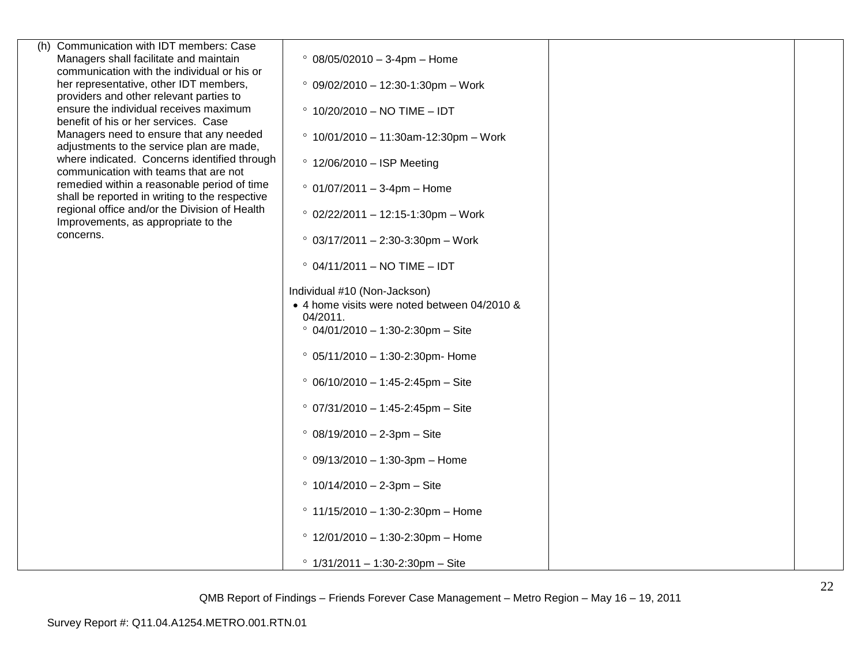| (h) Communication with IDT members: Case                                             |                                               |  |
|--------------------------------------------------------------------------------------|-----------------------------------------------|--|
| Managers shall facilitate and maintain                                               | $\degree$ 08/05/02010 - 3-4pm - Home          |  |
| communication with the individual or his or                                          |                                               |  |
| her representative, other IDT members,                                               | $°$ 09/02/2010 - 12:30-1:30pm - Work          |  |
| providers and other relevant parties to                                              |                                               |  |
| ensure the individual receives maximum                                               | $^{\circ}$ 10/20/2010 - NO TIME - IDT         |  |
| benefit of his or her services. Case                                                 |                                               |  |
| Managers need to ensure that any needed                                              | $\degree$ 10/01/2010 - 11:30am-12:30pm - Work |  |
| adjustments to the service plan are made,                                            |                                               |  |
| where indicated. Concerns identified through                                         | $\degree$ 12/06/2010 - ISP Meeting            |  |
| communication with teams that are not                                                |                                               |  |
| remedied within a reasonable period of time                                          | $\degree$ 01/07/2011 - 3-4pm - Home           |  |
| shall be reported in writing to the respective                                       |                                               |  |
| regional office and/or the Division of Health<br>Improvements, as appropriate to the | $\degree$ 02/22/2011 - 12:15-1:30pm - Work    |  |
|                                                                                      |                                               |  |
| concerns.                                                                            | $\degree$ 03/17/2011 - 2:30-3:30pm - Work     |  |
|                                                                                      |                                               |  |
|                                                                                      | $^{\circ}$ 04/11/2011 – NO TIME – IDT         |  |
|                                                                                      |                                               |  |
|                                                                                      | Individual #10 (Non-Jackson)                  |  |
|                                                                                      | • 4 home visits were noted between 04/2010 &  |  |
|                                                                                      | 04/2011.                                      |  |
|                                                                                      | $° 04/01/2010 - 1:30-2:30$ pm - Site          |  |
|                                                                                      |                                               |  |
|                                                                                      | $°$ 05/11/2010 - 1:30-2:30pm- Home            |  |
|                                                                                      |                                               |  |
|                                                                                      | $°$ 06/10/2010 - 1:45-2:45pm - Site           |  |
|                                                                                      |                                               |  |
|                                                                                      | $° 07/31/2010 - 1:45-2:45pm - Site$           |  |
|                                                                                      |                                               |  |
|                                                                                      | $°$ 08/19/2010 - 2-3pm - Site                 |  |
|                                                                                      |                                               |  |
|                                                                                      | $°09/13/2010 - 1:30-3pm - Home$               |  |
|                                                                                      |                                               |  |
|                                                                                      | $\degree$ 10/14/2010 - 2-3pm - Site           |  |
|                                                                                      |                                               |  |
|                                                                                      | $\degree$ 11/15/2010 - 1:30-2:30pm - Home     |  |
|                                                                                      |                                               |  |
|                                                                                      | $\degree$ 12/01/2010 - 1:30-2:30pm - Home     |  |
|                                                                                      |                                               |  |
|                                                                                      | $\degree$ 1/31/2011 - 1:30-2:30pm - Site      |  |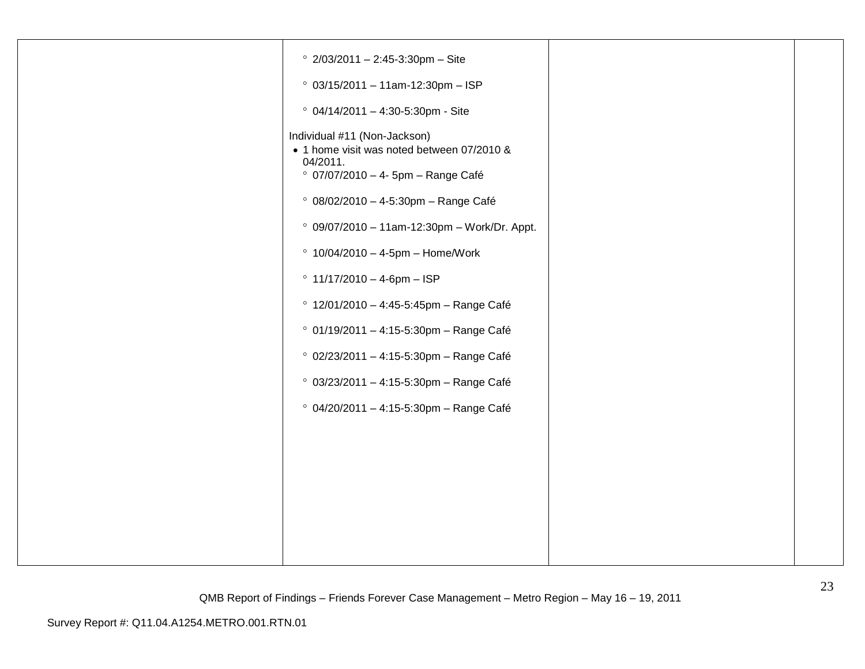| $\degree$ 2/03/2011 - 2:45-3:30pm - Site                                                                                     |  |
|------------------------------------------------------------------------------------------------------------------------------|--|
| $° 03/15/2011 - 11am-12:30pm - ISP$                                                                                          |  |
| $°$ 04/14/2011 - 4:30-5:30pm - Site                                                                                          |  |
| Individual #11 (Non-Jackson)<br>• 1 home visit was noted between 07/2010 &<br>04/2011.<br>° 07/07/2010 - 4- 5pm - Range Café |  |
| <sup>o</sup> 08/02/2010 - 4-5:30pm - Range Café                                                                              |  |
| $°$ 09/07/2010 - 11am-12:30pm - Work/Dr. Appt.                                                                               |  |
| $\degree$ 10/04/2010 - 4-5pm - Home/Work                                                                                     |  |
| $^{\circ}$ 11/17/2010 - 4-6pm - ISP                                                                                          |  |
| ° 12/01/2010 - 4:45-5:45pm - Range Café                                                                                      |  |
| ° 01/19/2011 - 4:15-5:30pm - Range Café                                                                                      |  |
| ° 02/23/2011 - 4:15-5:30pm - Range Café                                                                                      |  |
| $°$ 03/23/2011 - 4:15-5:30pm - Range Café                                                                                    |  |
| ° 04/20/2011 - 4:15-5:30pm - Range Café                                                                                      |  |
|                                                                                                                              |  |
|                                                                                                                              |  |
|                                                                                                                              |  |
|                                                                                                                              |  |
|                                                                                                                              |  |
|                                                                                                                              |  |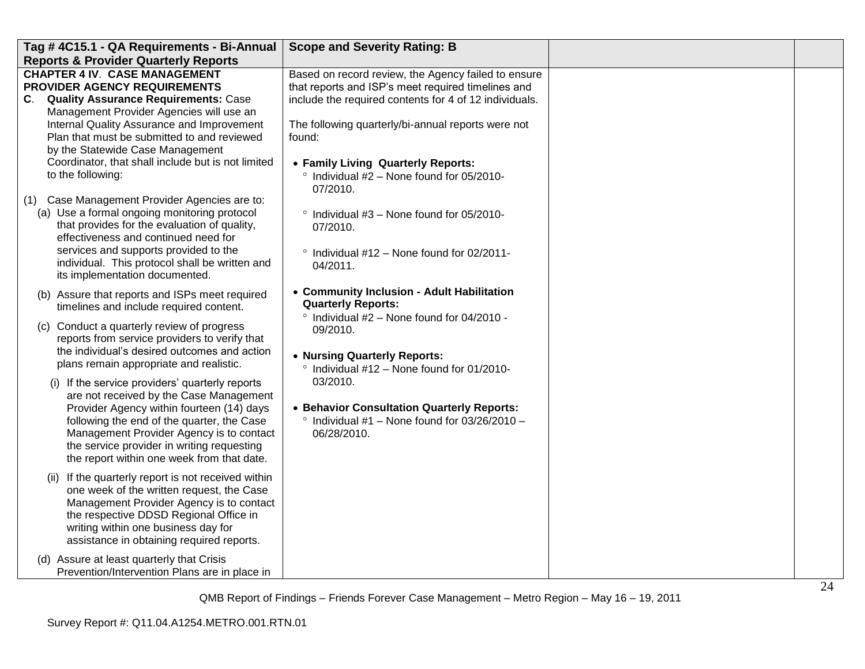| Tag #4C15.1 - QA Requirements - Bi-Annual                                                                                                                                                                                                                                                                                                                                                                                                                                                                                                                                                                            | <b>Scope and Severity Rating: B</b>                                                                                                                                                                                                                                                                                                                               |  |
|----------------------------------------------------------------------------------------------------------------------------------------------------------------------------------------------------------------------------------------------------------------------------------------------------------------------------------------------------------------------------------------------------------------------------------------------------------------------------------------------------------------------------------------------------------------------------------------------------------------------|-------------------------------------------------------------------------------------------------------------------------------------------------------------------------------------------------------------------------------------------------------------------------------------------------------------------------------------------------------------------|--|
| <b>Reports &amp; Provider Quarterly Reports</b>                                                                                                                                                                                                                                                                                                                                                                                                                                                                                                                                                                      |                                                                                                                                                                                                                                                                                                                                                                   |  |
| <b>CHAPTER 4 IV. CASE MANAGEMENT</b><br>PROVIDER AGENCY REQUIREMENTS<br>C. Quality Assurance Requirements: Case<br>Management Provider Agencies will use an<br>Internal Quality Assurance and Improvement<br>Plan that must be submitted to and reviewed                                                                                                                                                                                                                                                                                                                                                             | Based on record review, the Agency failed to ensure<br>that reports and ISP's meet required timelines and<br>include the required contents for 4 of 12 individuals.<br>The following quarterly/bi-annual reports were not<br>found:                                                                                                                               |  |
| by the Statewide Case Management<br>Coordinator, that shall include but is not limited<br>to the following:<br>(1) Case Management Provider Agencies are to:                                                                                                                                                                                                                                                                                                                                                                                                                                                         | • Family Living Quarterly Reports:<br>$\degree$ Individual #2 - None found for 05/2010-<br>07/2010.                                                                                                                                                                                                                                                               |  |
| (a) Use a formal ongoing monitoring protocol<br>that provides for the evaluation of quality,<br>effectiveness and continued need for<br>services and supports provided to the<br>individual. This protocol shall be written and<br>its implementation documented.                                                                                                                                                                                                                                                                                                                                                    | ° Individual #3 - None found for 05/2010-<br>07/2010.<br>$\degree$ Individual #12 - None found for 02/2011-<br>04/2011.                                                                                                                                                                                                                                           |  |
| (b) Assure that reports and ISPs meet required<br>timelines and include required content.<br>(c) Conduct a quarterly review of progress<br>reports from service providers to verify that<br>the individual's desired outcomes and action<br>plans remain appropriate and realistic.<br>(i) If the service providers' quarterly reports<br>are not received by the Case Management<br>Provider Agency within fourteen (14) days<br>following the end of the quarter, the Case<br>Management Provider Agency is to contact<br>the service provider in writing requesting<br>the report within one week from that date. | • Community Inclusion - Adult Habilitation<br><b>Quarterly Reports:</b><br>$\degree$ Individual #2 - None found for 04/2010 -<br>09/2010.<br>• Nursing Quarterly Reports:<br>$\degree$ Individual #12 - None found for 01/2010-<br>03/2010.<br>• Behavior Consultation Quarterly Reports:<br>$\degree$ Individual #1 - None found for 03/26/2010 -<br>06/28/2010. |  |
| (ii) If the quarterly report is not received within<br>one week of the written request, the Case<br>Management Provider Agency is to contact<br>the respective DDSD Regional Office in<br>writing within one business day for<br>assistance in obtaining required reports.<br>(d) Assure at least quarterly that Crisis<br>Prevention/Intervention Plans are in place in                                                                                                                                                                                                                                             |                                                                                                                                                                                                                                                                                                                                                                   |  |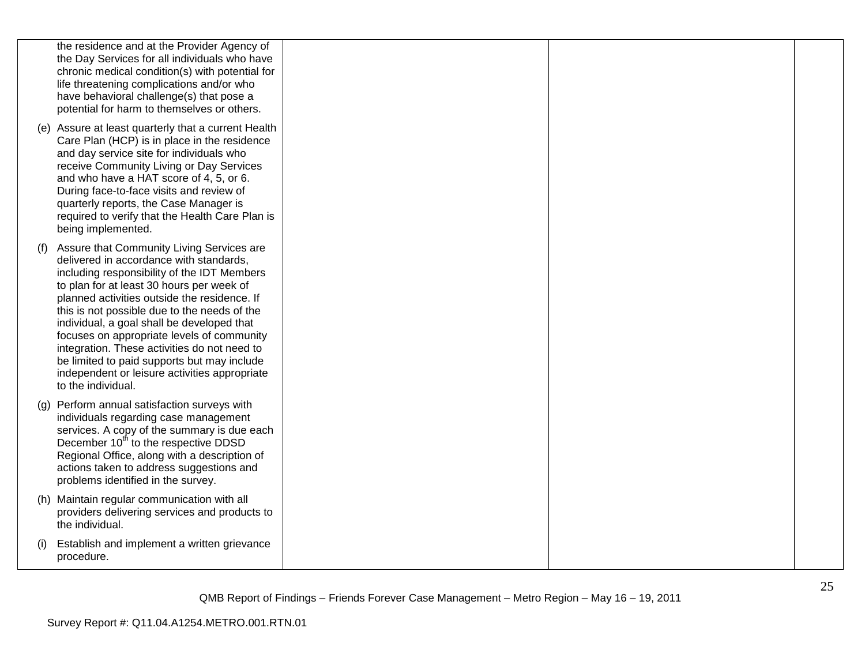|     | the residence and at the Provider Agency of<br>the Day Services for all individuals who have<br>chronic medical condition(s) with potential for<br>life threatening complications and/or who<br>have behavioral challenge(s) that pose a<br>potential for harm to themselves or others.                                                                                                                                                                                                                                                            |  |  |
|-----|----------------------------------------------------------------------------------------------------------------------------------------------------------------------------------------------------------------------------------------------------------------------------------------------------------------------------------------------------------------------------------------------------------------------------------------------------------------------------------------------------------------------------------------------------|--|--|
|     | (e) Assure at least quarterly that a current Health<br>Care Plan (HCP) is in place in the residence<br>and day service site for individuals who<br>receive Community Living or Day Services<br>and who have a HAT score of 4, 5, or 6.<br>During face-to-face visits and review of<br>quarterly reports, the Case Manager is<br>required to verify that the Health Care Plan is<br>being implemented.                                                                                                                                              |  |  |
| (t) | Assure that Community Living Services are<br>delivered in accordance with standards,<br>including responsibility of the IDT Members<br>to plan for at least 30 hours per week of<br>planned activities outside the residence. If<br>this is not possible due to the needs of the<br>individual, a goal shall be developed that<br>focuses on appropriate levels of community<br>integration. These activities do not need to<br>be limited to paid supports but may include<br>independent or leisure activities appropriate<br>to the individual. |  |  |
|     | (g) Perform annual satisfaction surveys with<br>individuals regarding case management<br>services. A copy of the summary is due each<br>December 10 <sup>th</sup> to the respective DDSD<br>Regional Office, along with a description of<br>actions taken to address suggestions and<br>problems identified in the survey.                                                                                                                                                                                                                         |  |  |
|     | (h) Maintain regular communication with all<br>providers delivering services and products to<br>the individual.                                                                                                                                                                                                                                                                                                                                                                                                                                    |  |  |
| (i) | Establish and implement a written grievance<br>procedure.                                                                                                                                                                                                                                                                                                                                                                                                                                                                                          |  |  |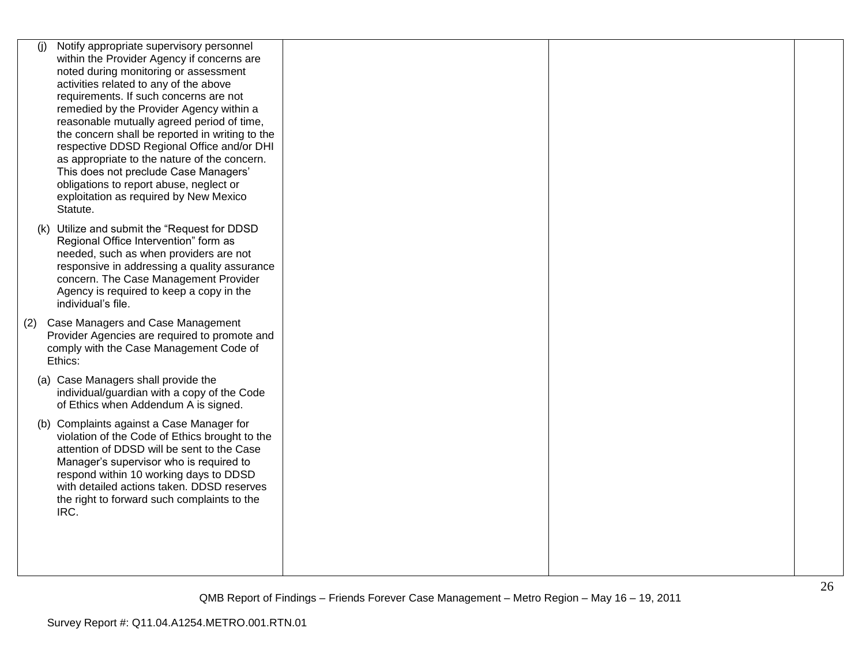| (i) | Notify appropriate supervisory personnel                                                    |  |  |
|-----|---------------------------------------------------------------------------------------------|--|--|
|     | within the Provider Agency if concerns are                                                  |  |  |
|     | noted during monitoring or assessment                                                       |  |  |
|     | activities related to any of the above                                                      |  |  |
|     | requirements. If such concerns are not                                                      |  |  |
|     | remedied by the Provider Agency within a                                                    |  |  |
|     | reasonable mutually agreed period of time,                                                  |  |  |
|     | the concern shall be reported in writing to the                                             |  |  |
|     | respective DDSD Regional Office and/or DHI                                                  |  |  |
|     | as appropriate to the nature of the concern.                                                |  |  |
|     | This does not preclude Case Managers'                                                       |  |  |
|     | obligations to report abuse, neglect or                                                     |  |  |
|     | exploitation as required by New Mexico                                                      |  |  |
|     | Statute.                                                                                    |  |  |
|     | (k) Utilize and submit the "Request for DDSD                                                |  |  |
|     | Regional Office Intervention" form as                                                       |  |  |
|     | needed, such as when providers are not                                                      |  |  |
|     | responsive in addressing a quality assurance                                                |  |  |
|     | concern. The Case Management Provider                                                       |  |  |
|     | Agency is required to keep a copy in the                                                    |  |  |
|     | individual's file.                                                                          |  |  |
| (2) | Case Managers and Case Management                                                           |  |  |
|     | Provider Agencies are required to promote and                                               |  |  |
|     | comply with the Case Management Code of                                                     |  |  |
|     | Ethics:                                                                                     |  |  |
|     | (a) Case Managers shall provide the                                                         |  |  |
|     | individual/guardian with a copy of the Code                                                 |  |  |
|     | of Ethics when Addendum A is signed.                                                        |  |  |
|     |                                                                                             |  |  |
|     | (b) Complaints against a Case Manager for<br>violation of the Code of Ethics brought to the |  |  |
|     | attention of DDSD will be sent to the Case                                                  |  |  |
|     | Manager's supervisor who is required to                                                     |  |  |
|     | respond within 10 working days to DDSD                                                      |  |  |
|     | with detailed actions taken. DDSD reserves                                                  |  |  |
|     | the right to forward such complaints to the                                                 |  |  |
|     | IRC.                                                                                        |  |  |
|     |                                                                                             |  |  |
|     |                                                                                             |  |  |
|     |                                                                                             |  |  |
|     |                                                                                             |  |  |